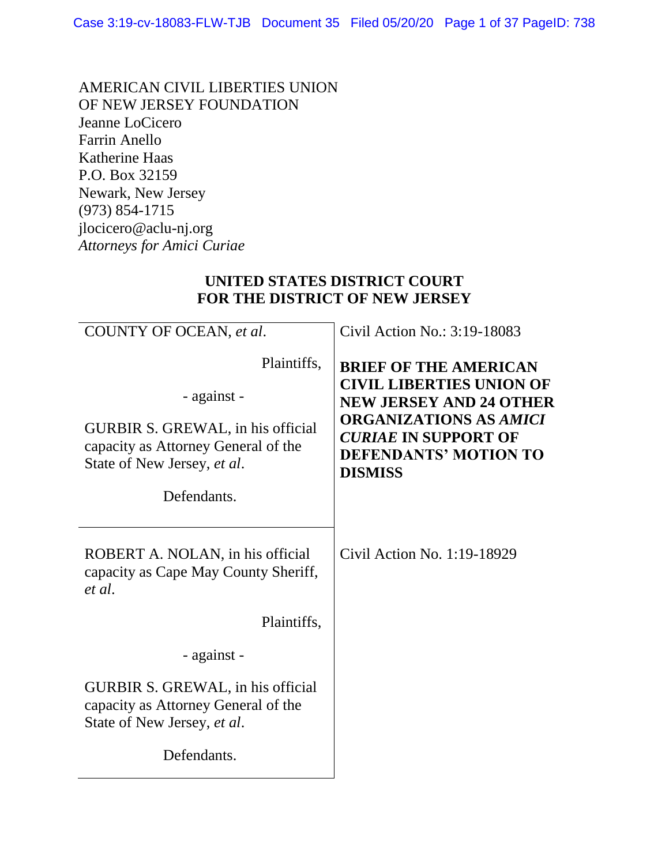AMERICAN CIVIL LIBERTIES UNION OF NEW JERSEY FOUNDATION Jeanne LoCicero Farrin Anello Katherine Haas P.O. Box 32159 Newark, New Jersey (973) 854-1715 jlocicero@aclu-nj.org *Attorneys for Amici Curiae*

#### **UNITED STATES DISTRICT COURT FOR THE DISTRICT OF NEW JERSEY**

| COUNTY OF OCEAN, et al.<br>Plaintiffs,<br>- against -<br>GURBIR S. GREWAL, in his official<br>capacity as Attorney General of the<br>State of New Jersey, et al.<br>Defendants. | Civil Action No.: 3:19-18083<br><b>BRIEF OF THE AMERICAN</b><br><b>CIVIL LIBERTIES UNION OF</b><br><b>NEW JERSEY AND 24 OTHER</b><br><b>ORGANIZATIONS AS AMICI</b><br><b>CURIAE IN SUPPORT OF</b><br><b>DEFENDANTS' MOTION TO</b><br><b>DISMISS</b> |
|---------------------------------------------------------------------------------------------------------------------------------------------------------------------------------|-----------------------------------------------------------------------------------------------------------------------------------------------------------------------------------------------------------------------------------------------------|
| ROBERT A. NOLAN, in his official<br>capacity as Cape May County Sheriff,<br>et al.                                                                                              | Civil Action No. 1:19-18929                                                                                                                                                                                                                         |
| Plaintiffs,                                                                                                                                                                     |                                                                                                                                                                                                                                                     |
| - against -                                                                                                                                                                     |                                                                                                                                                                                                                                                     |
| GURBIR S. GREWAL, in his official<br>capacity as Attorney General of the<br>State of New Jersey, et al.                                                                         |                                                                                                                                                                                                                                                     |
| Defendants.                                                                                                                                                                     |                                                                                                                                                                                                                                                     |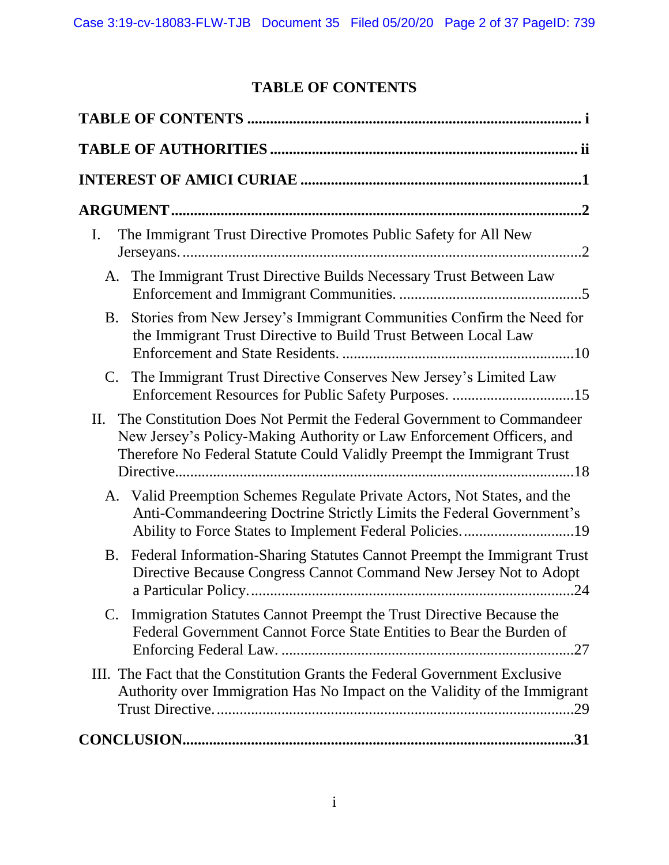# **TABLE OF CONTENTS**

<span id="page-1-0"></span>

| The Immigrant Trust Directive Promotes Public Safety for All New<br>$\mathbf{I}$ .                                                                                                                                              |
|---------------------------------------------------------------------------------------------------------------------------------------------------------------------------------------------------------------------------------|
| The Immigrant Trust Directive Builds Necessary Trust Between Law<br>A.                                                                                                                                                          |
| Stories from New Jersey's Immigrant Communities Confirm the Need for<br><b>B.</b><br>the Immigrant Trust Directive to Build Trust Between Local Law                                                                             |
| The Immigrant Trust Directive Conserves New Jersey's Limited Law<br>$\mathbf{C}$ .                                                                                                                                              |
| The Constitution Does Not Permit the Federal Government to Commandeer<br>II.<br>New Jersey's Policy-Making Authority or Law Enforcement Officers, and<br>Therefore No Federal Statute Could Validly Preempt the Immigrant Trust |
| A. Valid Preemption Schemes Regulate Private Actors, Not States, and the<br>Anti-Commandeering Doctrine Strictly Limits the Federal Government's<br>Ability to Force States to Implement Federal Policies19                     |
| Federal Information-Sharing Statutes Cannot Preempt the Immigrant Trust<br><b>B.</b><br>Directive Because Congress Cannot Command New Jersey Not to Adopt                                                                       |
| C. Immigration Statutes Cannot Preempt the Trust Directive Because the<br>Federal Government Cannot Force State Entities to Bear the Burden of                                                                                  |
| III. The Fact that the Constitution Grants the Federal Government Exclusive<br>Authority over Immigration Has No Impact on the Validity of the Immigrant                                                                        |
| .31                                                                                                                                                                                                                             |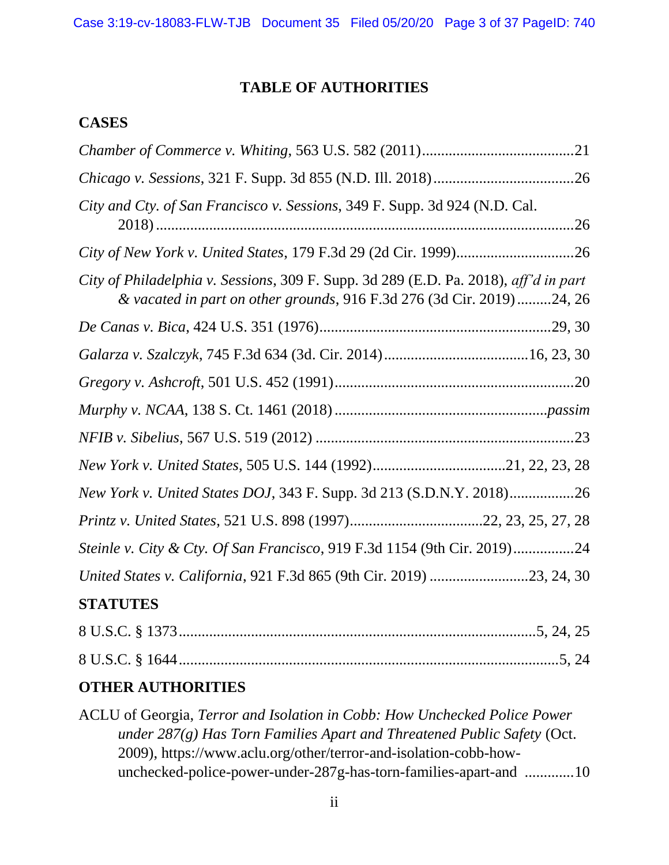#### **TABLE OF AUTHORITIES**

#### <span id="page-2-0"></span>**CASES**

| City and Cty. of San Francisco v. Sessions, 349 F. Supp. 3d 924 (N.D. Cal.                                                                                    |
|---------------------------------------------------------------------------------------------------------------------------------------------------------------|
|                                                                                                                                                               |
| City of Philadelphia v. Sessions, 309 F. Supp. 3d 289 (E.D. Pa. 2018), aff'd in part<br>& vacated in part on other grounds, 916 F.3d 276 (3d Cir. 2019)24, 26 |
|                                                                                                                                                               |
|                                                                                                                                                               |
|                                                                                                                                                               |
|                                                                                                                                                               |
|                                                                                                                                                               |
|                                                                                                                                                               |
| New York v. United States DOJ, 343 F. Supp. 3d 213 (S.D.N.Y. 2018)26                                                                                          |
|                                                                                                                                                               |
| Steinle v. City & Cty. Of San Francisco, 919 F.3d 1154 (9th Cir. 2019)24                                                                                      |
| United States v. California, 921 F.3d 865 (9th Cir. 2019) 23, 24, 30                                                                                          |
| <b>STATUTES</b>                                                                                                                                               |
|                                                                                                                                                               |
|                                                                                                                                                               |
|                                                                                                                                                               |

# **OTHER AUTHORITIES**

ACLU of Georgia, *Terror and Isolation in Cobb: How Unchecked Police Power under 287(g) Has Torn Families Apart and Threatened Public Safety* (Oct. 2009), https://www.aclu.org/other/terror-and-isolation-cobb-howunchecked-police-power-under-287g-has-torn-families-apart-and .............10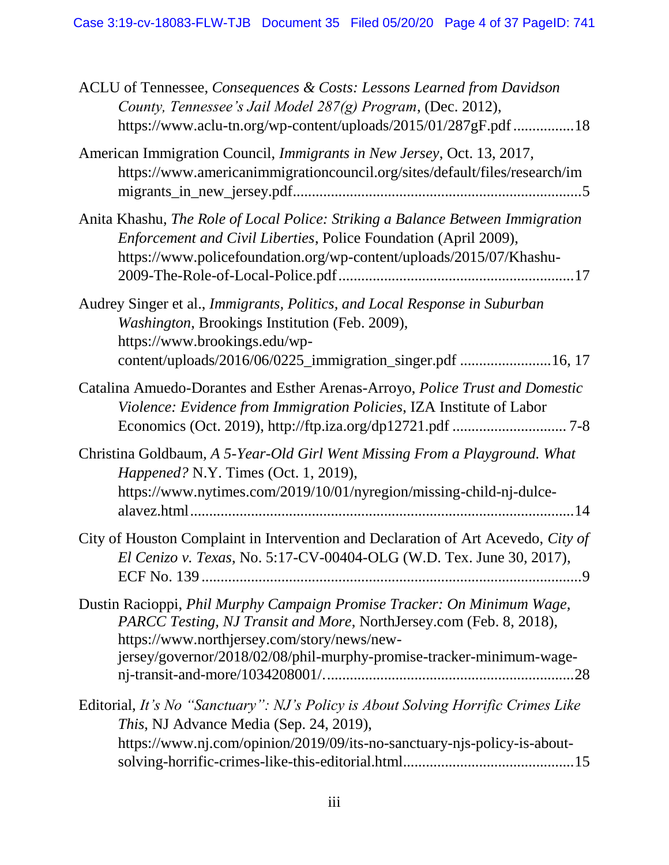| ACLU of Tennessee, Consequences & Costs: Lessons Learned from Davidson<br>County, Tennessee's Jail Model 287(g) Program, (Dec. 2012),<br>https://www.aclu-tn.org/wp-content/uploads/2015/01/287gF.pdf 18                                                              |
|-----------------------------------------------------------------------------------------------------------------------------------------------------------------------------------------------------------------------------------------------------------------------|
| American Immigration Council, Immigrants in New Jersey, Oct. 13, 2017,<br>https://www.americanimmigrationcouncil.org/sites/default/files/research/im                                                                                                                  |
| Anita Khashu, The Role of Local Police: Striking a Balance Between Immigration<br>Enforcement and Civil Liberties, Police Foundation (April 2009),<br>https://www.policefoundation.org/wp-content/uploads/2015/07/Khashu-                                             |
| Audrey Singer et al., Immigrants, Politics, and Local Response in Suburban<br>Washington, Brookings Institution (Feb. 2009),<br>https://www.brookings.edu/wp-<br>content/uploads/2016/06/0225_immigration_singer.pdf 16, 17                                           |
| Catalina Amuedo-Dorantes and Esther Arenas-Arroyo, Police Trust and Domestic<br>Violence: Evidence from Immigration Policies, IZA Institute of Labor                                                                                                                  |
| Christina Goldbaum, A 5-Year-Old Girl Went Missing From a Playground. What<br>Happened? N.Y. Times (Oct. 1, 2019),<br>https://www.nytimes.com/2019/10/01/nyregion/missing-child-nj-dulce-                                                                             |
| City of Houston Complaint in Intervention and Declaration of Art Acevedo, City of<br>El Cenizo v. Texas, No. 5:17-CV-00404-OLG (W.D. Tex. June 30, 2017),                                                                                                             |
| Dustin Racioppi, Phil Murphy Campaign Promise Tracker: On Minimum Wage,<br>PARCC Testing, NJ Transit and More, NorthJersey.com (Feb. 8, 2018),<br>https://www.northjersey.com/story/news/new-<br>jersey/governor/2018/02/08/phil-murphy-promise-tracker-minimum-wage- |
| Editorial, It's No "Sanctuary": NJ's Policy is About Solving Horrific Crimes Like<br>This, NJ Advance Media (Sep. 24, 2019),<br>https://www.nj.com/opinion/2019/09/its-no-sanctuary-njs-policy-is-about-                                                              |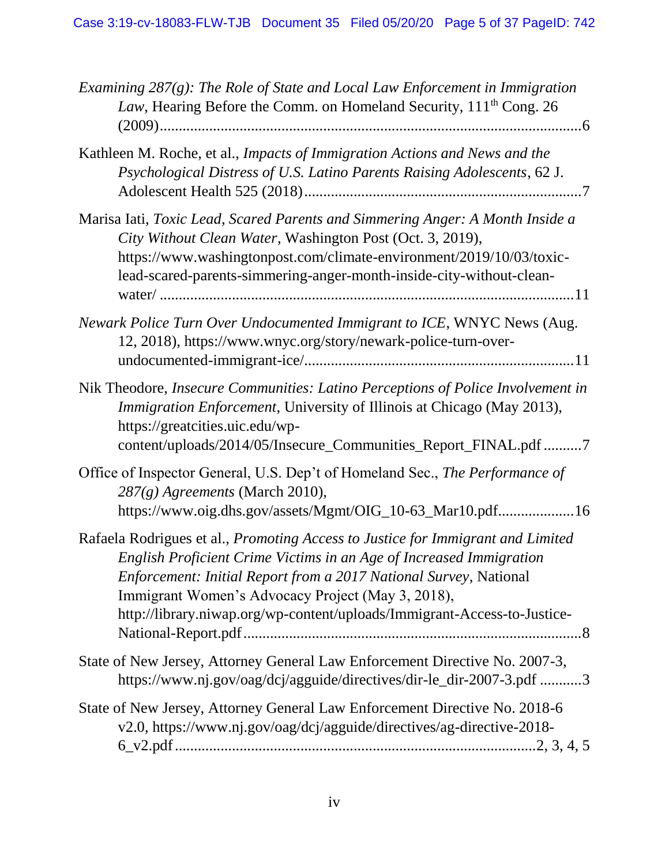| Examining $287(g)$ : The Role of State and Local Law Enforcement in Immigration<br>Law, Hearing Before the Comm. on Homeland Security, 111 <sup>th</sup> Cong. 26                                                                                                                                                                                                   |
|---------------------------------------------------------------------------------------------------------------------------------------------------------------------------------------------------------------------------------------------------------------------------------------------------------------------------------------------------------------------|
| Kathleen M. Roche, et al., Impacts of Immigration Actions and News and the<br>Psychological Distress of U.S. Latino Parents Raising Adolescents, 62 J.                                                                                                                                                                                                              |
| Marisa Iati, Toxic Lead, Scared Parents and Simmering Anger: A Month Inside a<br>City Without Clean Water, Washington Post (Oct. 3, 2019),<br>https://www.washingtonpost.com/climate-environment/2019/10/03/toxic-<br>lead-scared-parents-simmering-anger-month-inside-city-without-clean-                                                                          |
| Newark Police Turn Over Undocumented Immigrant to ICE, WNYC News (Aug.<br>12, 2018), https://www.wnyc.org/story/newark-police-turn-over-                                                                                                                                                                                                                            |
| Nik Theodore, Insecure Communities: Latino Perceptions of Police Involvement in<br>Immigration Enforcement, University of Illinois at Chicago (May 2013),<br>https://greatcities.uic.edu/wp-<br>content/uploads/2014/05/Insecure_Communities_Report_FINAL.pdf 7                                                                                                     |
| Office of Inspector General, U.S. Dep't of Homeland Sec., The Performance of<br>287(g) Agreements (March 2010),<br>https://www.oig.dhs.gov/assets/Mgmt/OIG_10-63_Mar10.pdf16                                                                                                                                                                                        |
| Rafaela Rodrigues et al., Promoting Access to Justice for Immigrant and Limited<br>English Proficient Crime Victims in an Age of Increased Immigration<br><i>Enforcement: Initial Report from a 2017 National Survey, National</i><br>Immigrant Women's Advocacy Project (May 3, 2018),<br>http://library.niwap.org/wp-content/uploads/Immigrant-Access-to-Justice- |
| State of New Jersey, Attorney General Law Enforcement Directive No. 2007-3,<br>https://www.nj.gov/oag/dcj/agguide/directives/dir-le_dir-2007-3.pdf 3                                                                                                                                                                                                                |
| State of New Jersey, Attorney General Law Enforcement Directive No. 2018-6<br>v2.0, https://www.nj.gov/oag/dcj/agguide/directives/ag-directive-2018-                                                                                                                                                                                                                |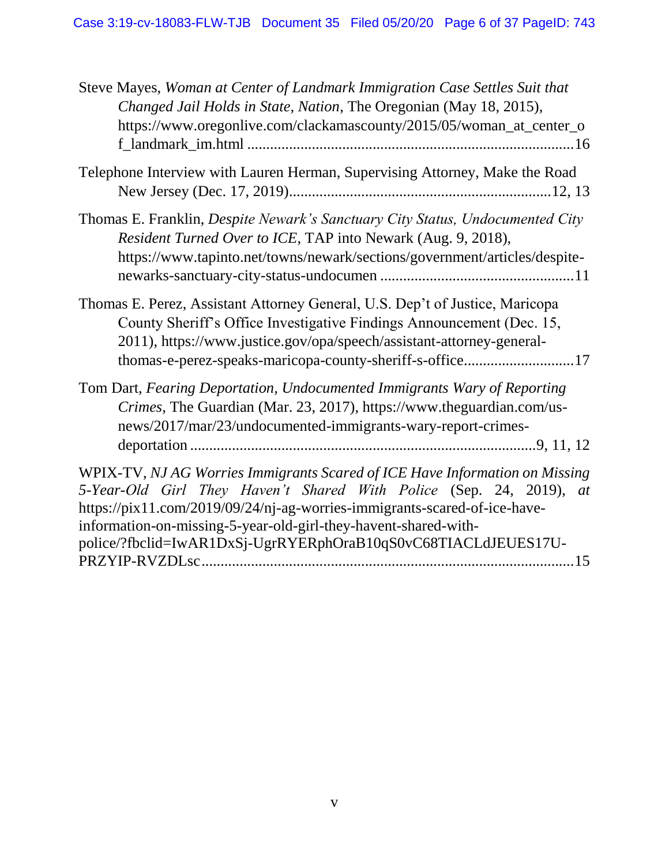| Steve Mayes, Woman at Center of Landmark Immigration Case Settles Suit that<br>Changed Jail Holds in State, Nation, The Oregonian (May 18, 2015),<br>https://www.oregonlive.com/clackamascounty/2015/05/woman_at_center_o                                                                                                                                                      |
|--------------------------------------------------------------------------------------------------------------------------------------------------------------------------------------------------------------------------------------------------------------------------------------------------------------------------------------------------------------------------------|
| Telephone Interview with Lauren Herman, Supervising Attorney, Make the Road                                                                                                                                                                                                                                                                                                    |
| Thomas E. Franklin, <i>Despite Newark's Sanctuary City Status</i> , <i>Undocumented City</i><br>Resident Turned Over to ICE, TAP into Newark (Aug. 9, 2018),<br>https://www.tapinto.net/towns/newark/sections/government/articles/despite-                                                                                                                                     |
| Thomas E. Perez, Assistant Attorney General, U.S. Dep't of Justice, Maricopa<br>County Sheriff's Office Investigative Findings Announcement (Dec. 15,<br>2011), https://www.justice.gov/opa/speech/assistant-attorney-general-<br>thomas-e-perez-speaks-maricopa-county-sheriff-s-office17                                                                                     |
| Tom Dart, Fearing Deportation, Undocumented Immigrants Wary of Reporting<br>Crimes, The Guardian (Mar. 23, 2017), https://www.theguardian.com/us-<br>news/2017/mar/23/undocumented-immigrants-wary-report-crimes-                                                                                                                                                              |
| WPIX-TV, NJ AG Worries Immigrants Scared of ICE Have Information on Missing<br>5-Year-Old Girl They Haven't Shared With Police (Sep. 24, 2019),<br><i>at</i><br>https://pix11.com/2019/09/24/nj-ag-worries-immigrants-scared-of-ice-have-<br>information-on-missing-5-year-old-girl-they-havent-shared-with-<br>police/?fbclid=IwAR1DxSj-UgrRYERphOraB10qS0vC68TIACLdJEUES17U- |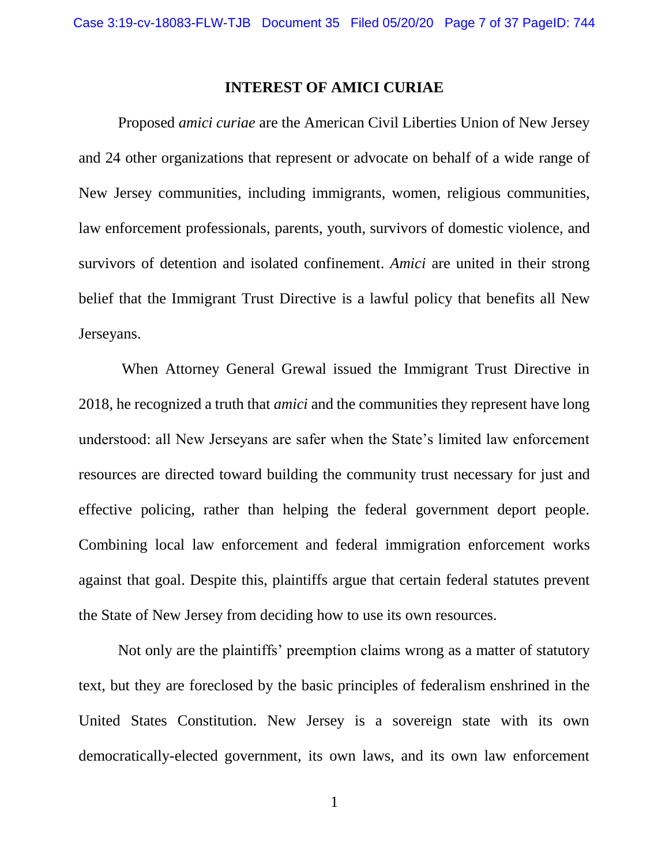#### **INTEREST OF AMICI CURIAE**

<span id="page-6-0"></span>Proposed *amici curiae* are the American Civil Liberties Union of New Jersey and 24 other organizations that represent or advocate on behalf of a wide range of New Jersey communities, including immigrants, women, religious communities, law enforcement professionals, parents, youth, survivors of domestic violence, and survivors of detention and isolated confinement. *Amici* are united in their strong belief that the Immigrant Trust Directive is a lawful policy that benefits all New Jerseyans.

When Attorney General Grewal issued the Immigrant Trust Directive in 2018, he recognized a truth that *amici* and the communities they represent have long understood: all New Jerseyans are safer when the State's limited law enforcement resources are directed toward building the community trust necessary for just and effective policing, rather than helping the federal government deport people. Combining local law enforcement and federal immigration enforcement works against that goal. Despite this, plaintiffs argue that certain federal statutes prevent the State of New Jersey from deciding how to use its own resources.

Not only are the plaintiffs' preemption claims wrong as a matter of statutory text, but they are foreclosed by the basic principles of federalism enshrined in the United States Constitution. New Jersey is a sovereign state with its own democratically-elected government, its own laws, and its own law enforcement

1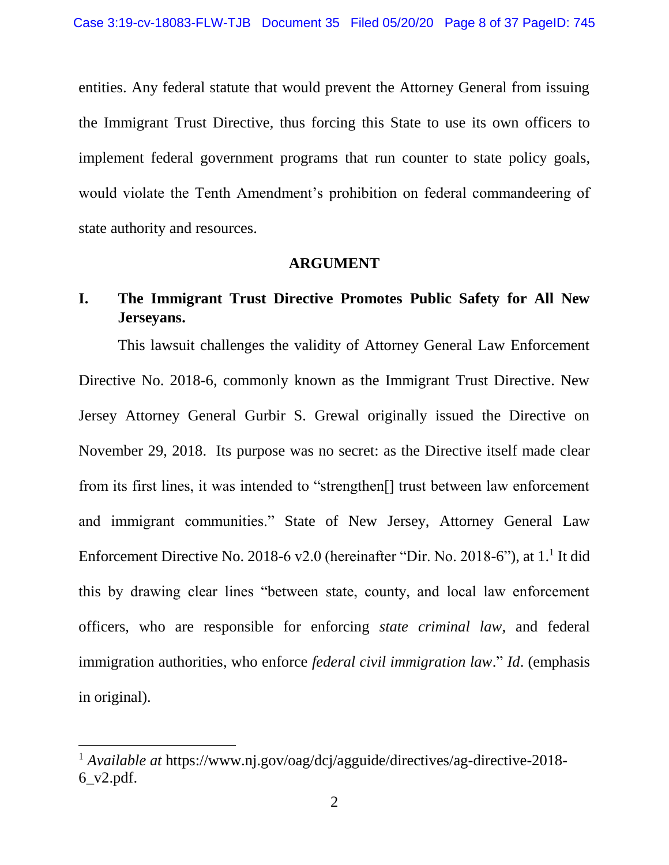entities. Any federal statute that would prevent the Attorney General from issuing the Immigrant Trust Directive, thus forcing this State to use its own officers to implement federal government programs that run counter to state policy goals, would violate the Tenth Amendment's prohibition on federal commandeering of state authority and resources.

#### **ARGUMENT**

# <span id="page-7-1"></span><span id="page-7-0"></span>**I. The Immigrant Trust Directive Promotes Public Safety for All New Jerseyans.**

This lawsuit challenges the validity of Attorney General Law Enforcement Directive No. 2018-6, commonly known as the Immigrant Trust Directive. New Jersey Attorney General Gurbir S. Grewal originally issued the Directive on November 29, 2018. Its purpose was no secret: as the Directive itself made clear from its first lines, it was intended to "strengthen[] trust between law enforcement and immigrant communities." State of New Jersey, Attorney General Law Enforcement Directive No. 2018-6 v2.0 (hereinafter "Dir. No. 2018-6"), at 1.<sup>1</sup> It did this by drawing clear lines "between state, county, and local law enforcement officers, who are responsible for enforcing *state criminal law*, and federal immigration authorities, who enforce *federal civil immigration law*." *Id*. (emphasis in original).

<sup>1</sup> *Available at* https://www.nj.gov/oag/dcj/agguide/directives/ag-directive-2018- 6\_v2.pdf.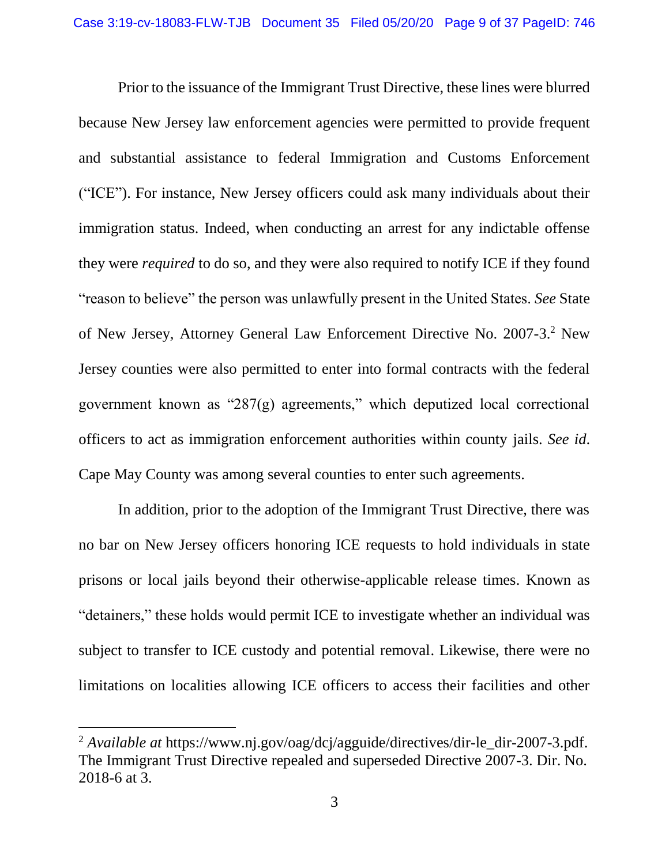Prior to the issuance of the Immigrant Trust Directive, these lines were blurred because New Jersey law enforcement agencies were permitted to provide frequent and substantial assistance to federal Immigration and Customs Enforcement ("ICE"). For instance, New Jersey officers could ask many individuals about their immigration status. Indeed, when conducting an arrest for any indictable offense they were *required* to do so, and they were also required to notify ICE if they found "reason to believe" the person was unlawfully present in the United States. *See* State of New Jersey, Attorney General Law Enforcement Directive No. 2007-3.<sup>2</sup> New Jersey counties were also permitted to enter into formal contracts with the federal government known as " $287(g)$  agreements," which deputized local correctional officers to act as immigration enforcement authorities within county jails. *See id*. Cape May County was among several counties to enter such agreements.

In addition, prior to the adoption of the Immigrant Trust Directive, there was no bar on New Jersey officers honoring ICE requests to hold individuals in state prisons or local jails beyond their otherwise-applicable release times. Known as "detainers," these holds would permit ICE to investigate whether an individual was subject to transfer to ICE custody and potential removal. Likewise, there were no limitations on localities allowing ICE officers to access their facilities and other

<sup>&</sup>lt;sup>2</sup> *Available at* https://www.nj.gov/oag/dcj/agguide/directives/dir-le\_dir-2007-3.pdf. The Immigrant Trust Directive repealed and superseded Directive 2007-3. Dir. No. 2018-6 at 3.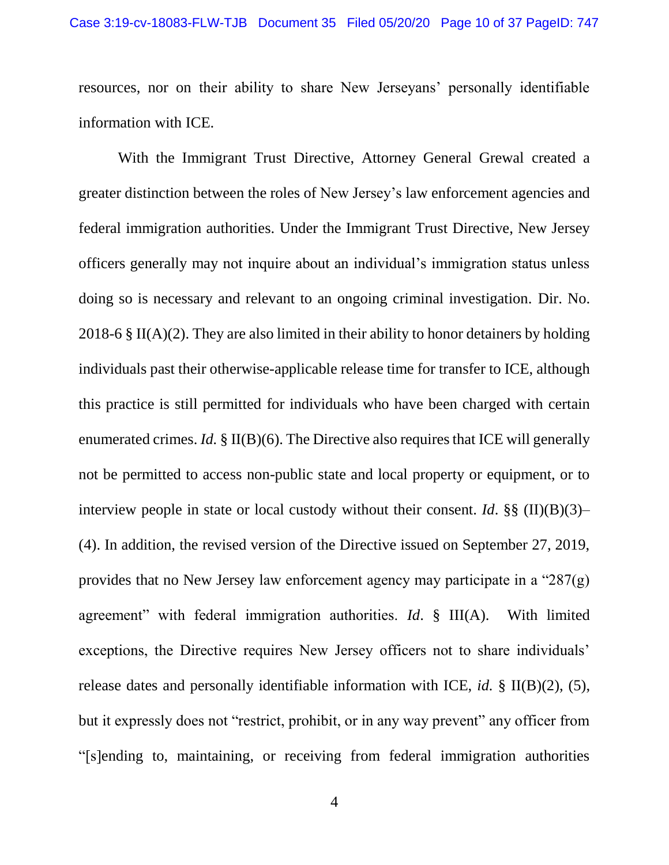resources, nor on their ability to share New Jerseyans' personally identifiable information with ICE.

With the Immigrant Trust Directive, Attorney General Grewal created a greater distinction between the roles of New Jersey's law enforcement agencies and federal immigration authorities. Under the Immigrant Trust Directive, New Jersey officers generally may not inquire about an individual's immigration status unless doing so is necessary and relevant to an ongoing criminal investigation. Dir. No. 2018-6  $\S$  II(A)(2). They are also limited in their ability to honor detainers by holding individuals past their otherwise-applicable release time for transfer to ICE, although this practice is still permitted for individuals who have been charged with certain enumerated crimes. *Id.* § II(B)(6). The Directive also requires that ICE will generally not be permitted to access non-public state and local property or equipment, or to interview people in state or local custody without their consent. *Id*. §§ (II)(B)(3)– (4). In addition, the revised version of the Directive issued on September 27, 2019, provides that no New Jersey law enforcement agency may participate in a "287(g) agreement" with federal immigration authorities. *Id*. § III(A). With limited exceptions, the Directive requires New Jersey officers not to share individuals' release dates and personally identifiable information with ICE, *id.* § II(B)(2), (5), but it expressly does not "restrict, prohibit, or in any way prevent" any officer from "[s]ending to, maintaining, or receiving from federal immigration authorities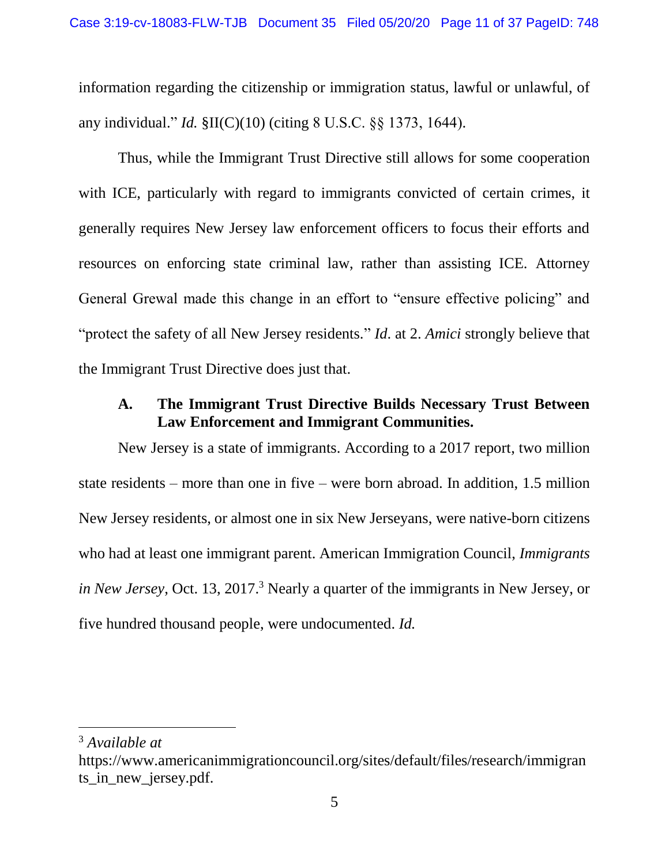information regarding the citizenship or immigration status, lawful or unlawful, of any individual." *Id.* §II(C)(10) (citing 8 U.S.C. §§ 1373, 1644).

Thus, while the Immigrant Trust Directive still allows for some cooperation with ICE, particularly with regard to immigrants convicted of certain crimes, it generally requires New Jersey law enforcement officers to focus their efforts and resources on enforcing state criminal law, rather than assisting ICE. Attorney General Grewal made this change in an effort to "ensure effective policing" and "protect the safety of all New Jersey residents." *Id*. at 2. *Amici* strongly believe that the Immigrant Trust Directive does just that.

## <span id="page-10-0"></span>**A. The Immigrant Trust Directive Builds Necessary Trust Between Law Enforcement and Immigrant Communities.**

New Jersey is a state of immigrants. According to a 2017 report, two million state residents – more than one in five – were born abroad. In addition, 1.5 million New Jersey residents, or almost one in six New Jerseyans, were native-born citizens who had at least one immigrant parent. American Immigration Council, *Immigrants in New Jersey*, Oct. 13, 2017.<sup>3</sup> Nearly a quarter of the immigrants in New Jersey, or five hundred thousand people, were undocumented. *Id.*

<sup>3</sup> *Available at*

https://www.americanimmigrationcouncil.org/sites/default/files/research/immigran ts\_in\_new\_jersey.pdf.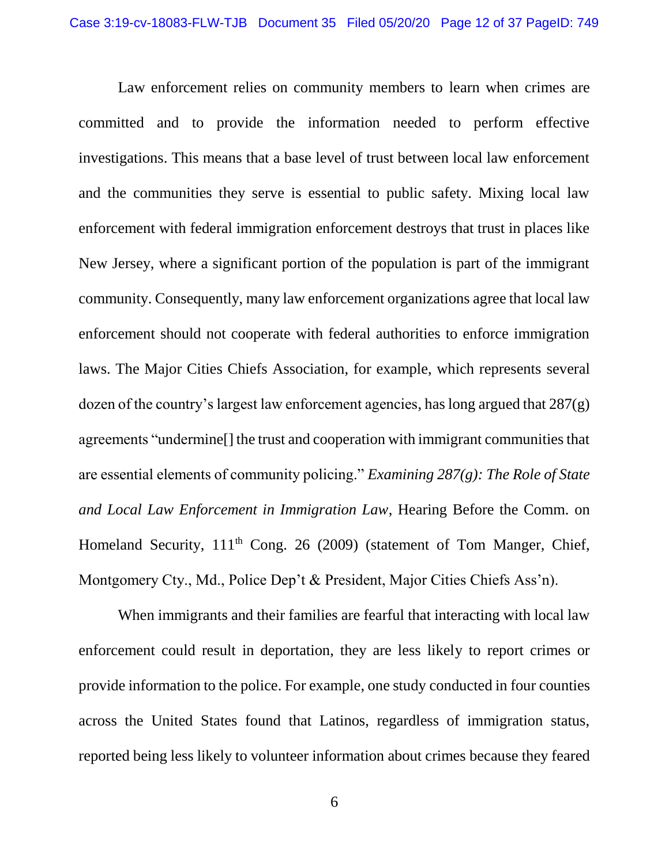Law enforcement relies on community members to learn when crimes are committed and to provide the information needed to perform effective investigations. This means that a base level of trust between local law enforcement and the communities they serve is essential to public safety. Mixing local law enforcement with federal immigration enforcement destroys that trust in places like New Jersey, where a significant portion of the population is part of the immigrant community. Consequently, many law enforcement organizations agree that local law enforcement should not cooperate with federal authorities to enforce immigration laws. The Major Cities Chiefs Association, for example, which represents several dozen of the country's largest law enforcement agencies, has long argued that  $287(g)$ agreements "undermine[] the trust and cooperation with immigrant communities that are essential elements of community policing." *Examining 287(g): The Role of State and Local Law Enforcement in Immigration Law*, Hearing Before the Comm. on Homeland Security, 111<sup>th</sup> Cong. 26 (2009) (statement of Tom Manger, Chief, Montgomery Cty., Md., Police Dep't & President, Major Cities Chiefs Ass'n).

When immigrants and their families are fearful that interacting with local law enforcement could result in deportation, they are less likely to report crimes or provide information to the police. For example, one study conducted in four counties across the United States found that Latinos, regardless of immigration status, reported being less likely to volunteer information about crimes because they feared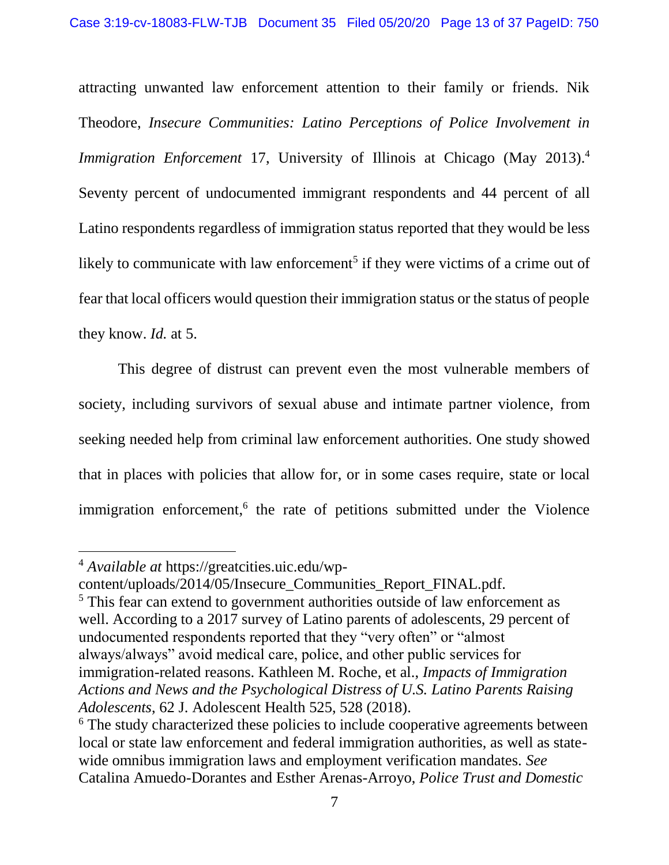attracting unwanted law enforcement attention to their family or friends. Nik Theodore, *Insecure Communities: Latino Perceptions of Police Involvement in Immigration Enforcement* 17, University of Illinois at Chicago (May 2013).<sup>4</sup> Seventy percent of undocumented immigrant respondents and 44 percent of all Latino respondents regardless of immigration status reported that they would be less likely to communicate with law enforcement<sup>5</sup> if they were victims of a crime out of fear that local officers would question their immigration status or the status of people they know. *Id.* at 5.

This degree of distrust can prevent even the most vulnerable members of society, including survivors of sexual abuse and intimate partner violence, from seeking needed help from criminal law enforcement authorities. One study showed that in places with policies that allow for, or in some cases require, state or local immigration enforcement,<sup>6</sup> the rate of petitions submitted under the Violence

<sup>4</sup> *Available at* https://greatcities.uic.edu/wp-

content/uploads/2014/05/Insecure\_Communities\_Report\_FINAL.pdf. <sup>5</sup> This fear can extend to government authorities outside of law enforcement as well. According to a 2017 survey of Latino parents of adolescents, 29 percent of undocumented respondents reported that they "very often" or "almost always/always" avoid medical care, police, and other public services for immigration-related reasons. Kathleen M. Roche, et al., *Impacts of Immigration Actions and News and the Psychological Distress of U.S. Latino Parents Raising Adolescents*, 62 J. Adolescent Health 525, 528 (2018).

<sup>&</sup>lt;sup>6</sup> The study characterized these policies to include cooperative agreements between local or state law enforcement and federal immigration authorities, as well as statewide omnibus immigration laws and employment verification mandates. *See*  Catalina Amuedo-Dorantes and Esther Arenas-Arroyo, *Police Trust and Domestic*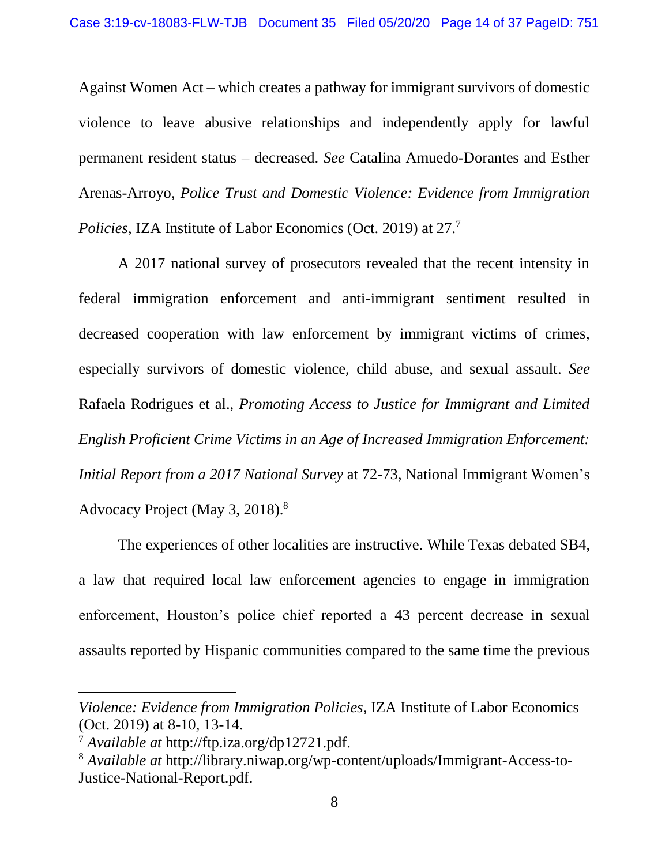Against Women Act – which creates a pathway for immigrant survivors of domestic violence to leave abusive relationships and independently apply for lawful permanent resident status – decreased. *See* Catalina Amuedo-Dorantes and Esther Arenas-Arroyo, *Police Trust and Domestic Violence: Evidence from Immigration Policies*, IZA Institute of Labor Economics (Oct. 2019) at 27.<sup>7</sup>

A 2017 national survey of prosecutors revealed that the recent intensity in federal immigration enforcement and anti-immigrant sentiment resulted in decreased cooperation with law enforcement by immigrant victims of crimes, especially survivors of domestic violence, child abuse, and sexual assault. *See*  Rafaela Rodrigues et al., *Promoting Access to Justice for Immigrant and Limited English Proficient Crime Victims in an Age of Increased Immigration Enforcement: Initial Report from a 2017 National Survey* at 72-73, National Immigrant Women's Advocacy Project (May 3, 2018).<sup>8</sup>

The experiences of other localities are instructive. While Texas debated SB4, a law that required local law enforcement agencies to engage in immigration enforcement, Houston's police chief reported a 43 percent decrease in sexual assaults reported by Hispanic communities compared to the same time the previous

*Violence: Evidence from Immigration Policies*, IZA Institute of Labor Economics (Oct. 2019) at 8-10, 13-14.

<sup>7</sup> *Available at* http://ftp.iza.org/dp12721.pdf.

<sup>8</sup> *Available at* http://library.niwap.org/wp-content/uploads/Immigrant-Access-to-Justice-National-Report.pdf.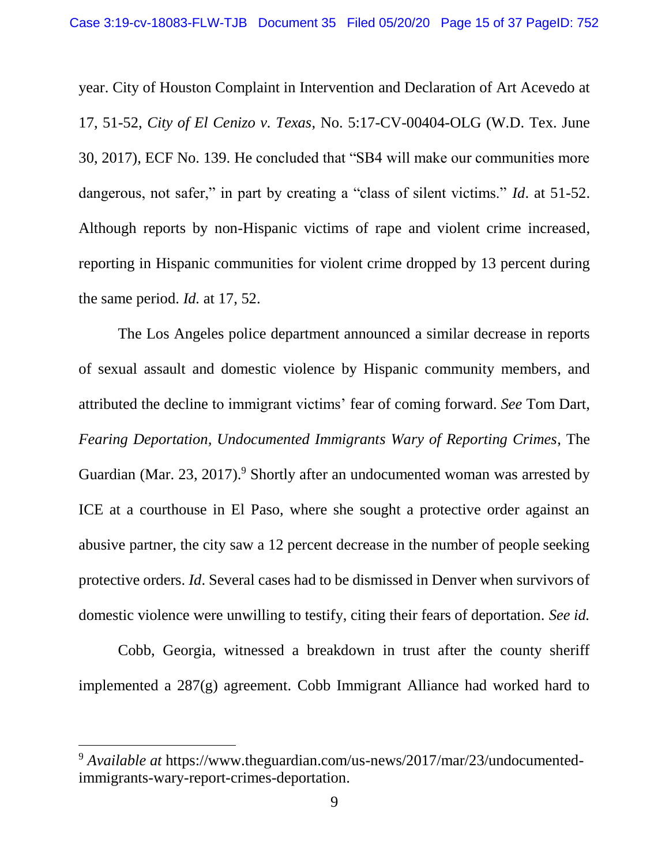year. City of Houston Complaint in Intervention and Declaration of Art Acevedo at 17, 51-52, *City of El Cenizo v. Texas*, No. 5:17-CV-00404-OLG (W.D. Tex. June 30, 2017), ECF No. 139. He concluded that "SB4 will make our communities more dangerous, not safer," in part by creating a "class of silent victims." *Id*. at 51-52. Although reports by non-Hispanic victims of rape and violent crime increased, reporting in Hispanic communities for violent crime dropped by 13 percent during the same period. *Id.* at 17, 52.

The Los Angeles police department announced a similar decrease in reports of sexual assault and domestic violence by Hispanic community members, and attributed the decline to immigrant victims' fear of coming forward. *See* Tom Dart, *Fearing Deportation, Undocumented Immigrants Wary of Reporting Crimes*, The Guardian (Mar. 23, 2017).<sup>9</sup> Shortly after an undocumented woman was arrested by ICE at a courthouse in El Paso, where she sought a protective order against an abusive partner, the city saw a 12 percent decrease in the number of people seeking protective orders. *Id*. Several cases had to be dismissed in Denver when survivors of domestic violence were unwilling to testify, citing their fears of deportation. *See id.*

Cobb, Georgia, witnessed a breakdown in trust after the county sheriff implemented a 287(g) agreement. Cobb Immigrant Alliance had worked hard to

<sup>9</sup> *Available at* https://www.theguardian.com/us-news/2017/mar/23/undocumentedimmigrants-wary-report-crimes-deportation.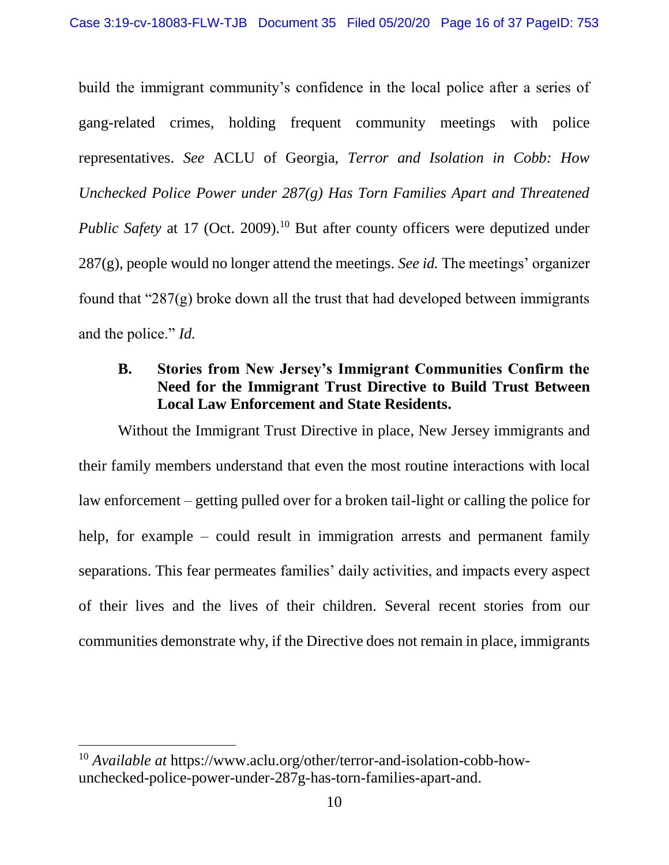build the immigrant community's confidence in the local police after a series of gang-related crimes, holding frequent community meetings with police representatives. *See* ACLU of Georgia, *Terror and Isolation in Cobb: How Unchecked Police Power under 287(g) Has Torn Families Apart and Threatened*  Public Safety at 17 (Oct. 2009).<sup>10</sup> But after county officers were deputized under 287(g), people would no longer attend the meetings. *See id.* The meetings' organizer found that " $287(g)$  broke down all the trust that had developed between immigrants and the police." *Id.*

# <span id="page-15-0"></span>**B. Stories from New Jersey's Immigrant Communities Confirm the Need for the Immigrant Trust Directive to Build Trust Between Local Law Enforcement and State Residents.**

Without the Immigrant Trust Directive in place, New Jersey immigrants and their family members understand that even the most routine interactions with local law enforcement – getting pulled over for a broken tail-light or calling the police for help, for example – could result in immigration arrests and permanent family separations. This fear permeates families' daily activities, and impacts every aspect of their lives and the lives of their children. Several recent stories from our communities demonstrate why, if the Directive does not remain in place, immigrants

<sup>10</sup> *Available at* https://www.aclu.org/other/terror-and-isolation-cobb-howunchecked-police-power-under-287g-has-torn-families-apart-and.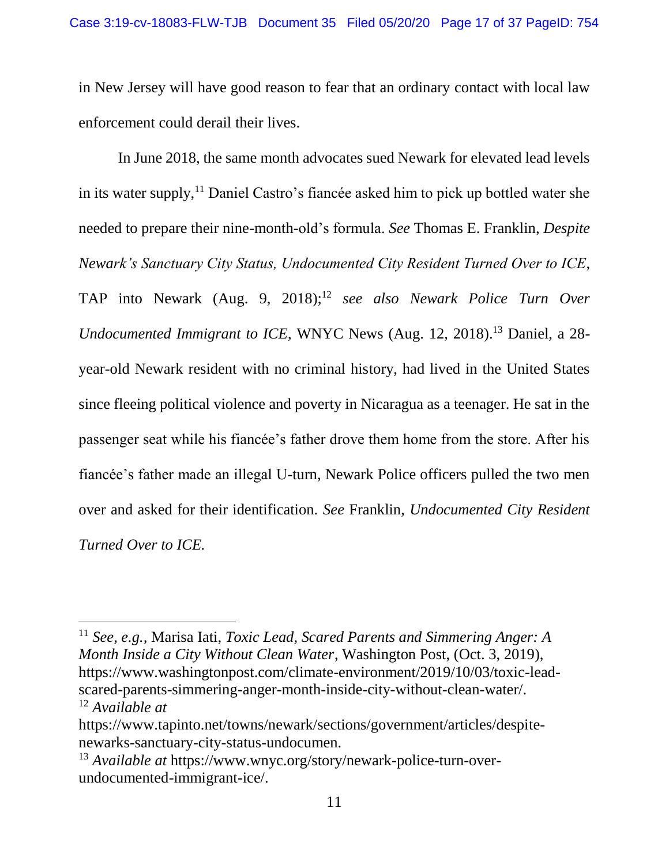in New Jersey will have good reason to fear that an ordinary contact with local law enforcement could derail their lives.

In June 2018, the same month advocates sued Newark for elevated lead levels in its water supply,  $\frac{11}{2}$  Daniel Castro's fiancée asked him to pick up bottled water she needed to prepare their nine-month-old's formula. *See* Thomas E. Franklin, *Despite Newark's Sanctuary City Status, Undocumented City Resident Turned Over to ICE*, TAP into Newark (Aug. 9, 2018); <sup>12</sup> *see also Newark Police Turn Over Undocumented Immigrant to ICE*, WNYC News (Aug. 12, 2018). <sup>13</sup> Daniel, a 28 year-old Newark resident with no criminal history, had lived in the United States since fleeing political violence and poverty in Nicaragua as a teenager. He sat in the passenger seat while his fiancée's father drove them home from the store. After his fiancée's father made an illegal U-turn, Newark Police officers pulled the two men over and asked for their identification. *See* Franklin, *Undocumented City Resident Turned Over to ICE.*

<sup>11</sup> *See, e.g.,* Marisa Iati, *Toxic Lead, Scared Parents and Simmering Anger: A Month Inside a City Without Clean Water*, Washington Post, (Oct. 3, 2019), https://www.washingtonpost.com/climate-environment/2019/10/03/toxic-leadscared-parents-simmering-anger-month-inside-city-without-clean-water/. <sup>12</sup> *Available at* 

https://www.tapinto.net/towns/newark/sections/government/articles/despitenewarks-sanctuary-city-status-undocumen.

<sup>13</sup> *Available at* https://www.wnyc.org/story/newark-police-turn-overundocumented-immigrant-ice/.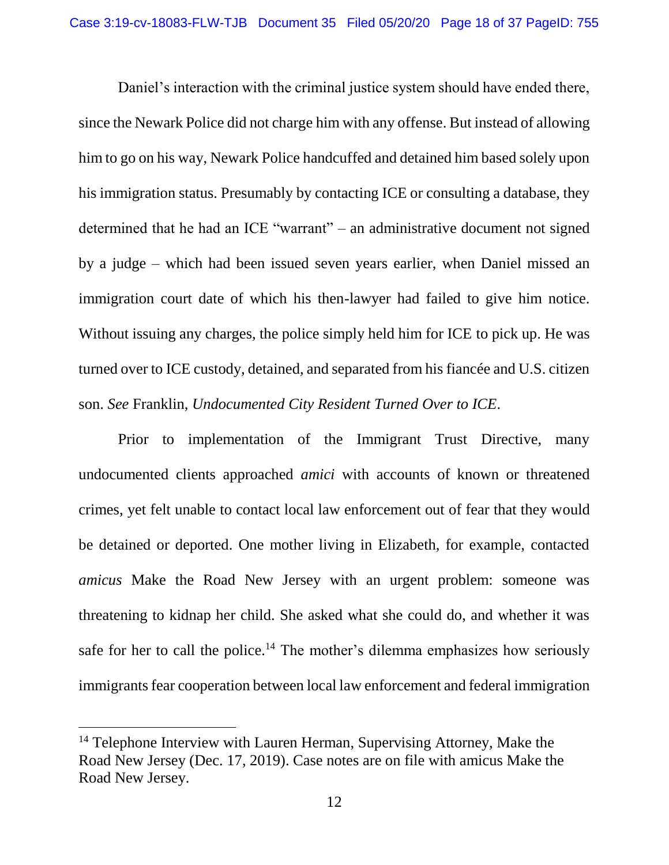Daniel's interaction with the criminal justice system should have ended there, since the Newark Police did not charge him with any offense. But instead of allowing him to go on his way, Newark Police handcuffed and detained him based solely upon his immigration status. Presumably by contacting ICE or consulting a database, they determined that he had an ICE "warrant" – an administrative document not signed by a judge – which had been issued seven years earlier, when Daniel missed an immigration court date of which his then-lawyer had failed to give him notice. Without issuing any charges, the police simply held him for ICE to pick up. He was turned over to ICE custody, detained, and separated from his fiancée and U.S. citizen son. *See* Franklin, *Undocumented City Resident Turned Over to ICE*.

Prior to implementation of the Immigrant Trust Directive, many undocumented clients approached *amici* with accounts of known or threatened crimes, yet felt unable to contact local law enforcement out of fear that they would be detained or deported. One mother living in Elizabeth, for example, contacted *amicus* Make the Road New Jersey with an urgent problem: someone was threatening to kidnap her child. She asked what she could do, and whether it was safe for her to call the police.<sup>14</sup> The mother's dilemma emphasizes how seriously immigrants fear cooperation between local law enforcement and federal immigration

<sup>&</sup>lt;sup>14</sup> Telephone Interview with Lauren Herman, Supervising Attorney, Make the Road New Jersey (Dec. 17, 2019). Case notes are on file with amicus Make the Road New Jersey.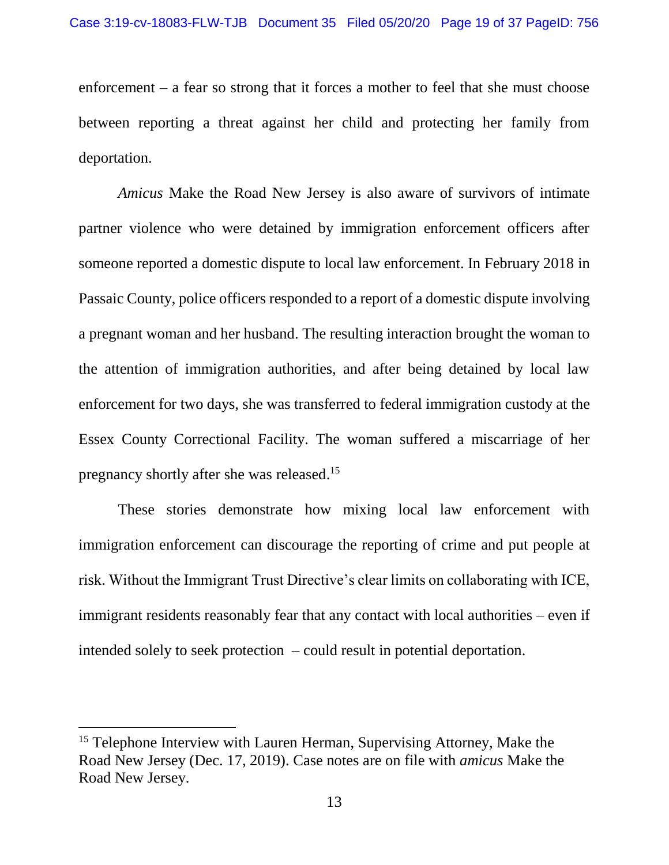enforcement – a fear so strong that it forces a mother to feel that she must choose between reporting a threat against her child and protecting her family from deportation.

*Amicus* Make the Road New Jersey is also aware of survivors of intimate partner violence who were detained by immigration enforcement officers after someone reported a domestic dispute to local law enforcement. In February 2018 in Passaic County, police officers responded to a report of a domestic dispute involving a pregnant woman and her husband. The resulting interaction brought the woman to the attention of immigration authorities, and after being detained by local law enforcement for two days, she was transferred to federal immigration custody at the Essex County Correctional Facility. The woman suffered a miscarriage of her pregnancy shortly after she was released.<sup>15</sup>

These stories demonstrate how mixing local law enforcement with immigration enforcement can discourage the reporting of crime and put people at risk. Without the Immigrant Trust Directive's clear limits on collaborating with ICE, immigrant residents reasonably fear that any contact with local authorities – even if intended solely to seek protection – could result in potential deportation.

<sup>&</sup>lt;sup>15</sup> Telephone Interview with Lauren Herman, Supervising Attorney, Make the Road New Jersey (Dec. 17, 2019). Case notes are on file with *amicus* Make the Road New Jersey.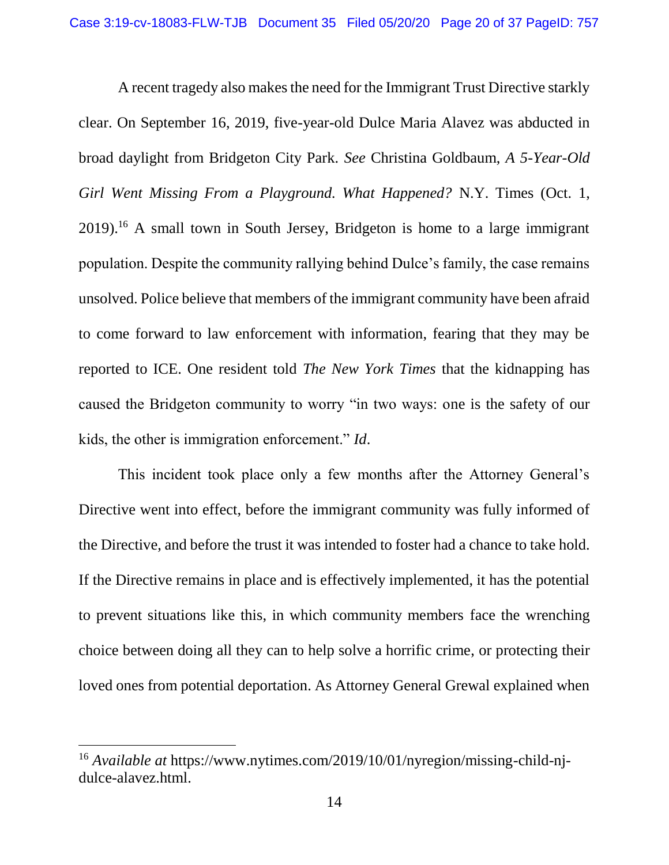A recent tragedy also makes the need for the Immigrant Trust Directive starkly clear. On September 16, 2019, five-year-old Dulce Maria Alavez was abducted in broad daylight from Bridgeton City Park. *See* Christina Goldbaum, *A 5-Year-Old Girl Went Missing From a Playground. What Happened?* N.Y. Times (Oct. 1, 2019). <sup>16</sup> A small town in South Jersey, Bridgeton is home to a large immigrant population. Despite the community rallying behind Dulce's family, the case remains unsolved. Police believe that members of the immigrant community have been afraid to come forward to law enforcement with information, fearing that they may be reported to ICE. One resident told *The New York Times* that the kidnapping has caused the Bridgeton community to worry "in two ways: one is the safety of our kids, the other is immigration enforcement." *Id*.

This incident took place only a few months after the Attorney General's Directive went into effect, before the immigrant community was fully informed of the Directive, and before the trust it was intended to foster had a chance to take hold. If the Directive remains in place and is effectively implemented, it has the potential to prevent situations like this, in which community members face the wrenching choice between doing all they can to help solve a horrific crime, or protecting their loved ones from potential deportation. As Attorney General Grewal explained when

<sup>16</sup> *Available at* https://www.nytimes.com/2019/10/01/nyregion/missing-child-njdulce-alavez.html.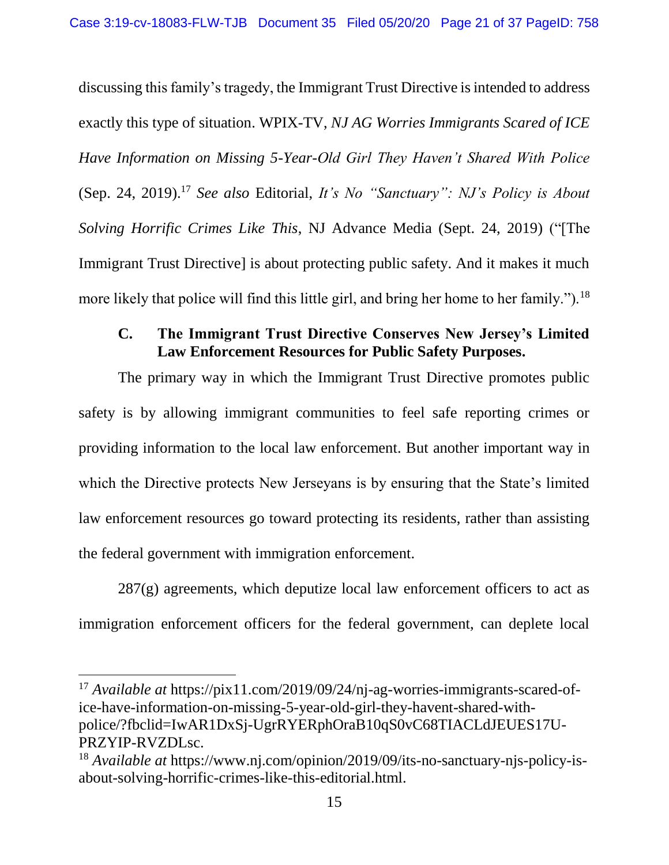discussing this family's tragedy, the Immigrant Trust Directive is intended to address exactly this type of situation. WPIX-TV, *NJ AG Worries Immigrants Scared of ICE Have Information on Missing 5-Year-Old Girl They Haven't Shared With Police* (Sep. 24, 2019).<sup>17</sup> *See also* Editorial, *It's No "Sanctuary": NJ's Policy is About Solving Horrific Crimes Like This*, NJ Advance Media (Sept. 24, 2019) ("[The Immigrant Trust Directive] is about protecting public safety. And it makes it much more likely that police will find this little girl, and bring her home to her family.").<sup>18</sup>

### <span id="page-20-0"></span>**C. The Immigrant Trust Directive Conserves New Jersey's Limited Law Enforcement Resources for Public Safety Purposes.**

The primary way in which the Immigrant Trust Directive promotes public safety is by allowing immigrant communities to feel safe reporting crimes or providing information to the local law enforcement. But another important way in which the Directive protects New Jerseyans is by ensuring that the State's limited law enforcement resources go toward protecting its residents, rather than assisting the federal government with immigration enforcement.

 $287(g)$  agreements, which deputize local law enforcement officers to act as immigration enforcement officers for the federal government, can deplete local

<sup>17</sup> *Available at* https://pix11.com/2019/09/24/nj-ag-worries-immigrants-scared-ofice-have-information-on-missing-5-year-old-girl-they-havent-shared-withpolice/?fbclid=IwAR1DxSj-UgrRYERphOraB10qS0vC68TIACLdJEUES17U-PRZYIP-RVZDLsc.

<sup>18</sup> *Available at* https://www.nj.com/opinion/2019/09/its-no-sanctuary-njs-policy-isabout-solving-horrific-crimes-like-this-editorial.html.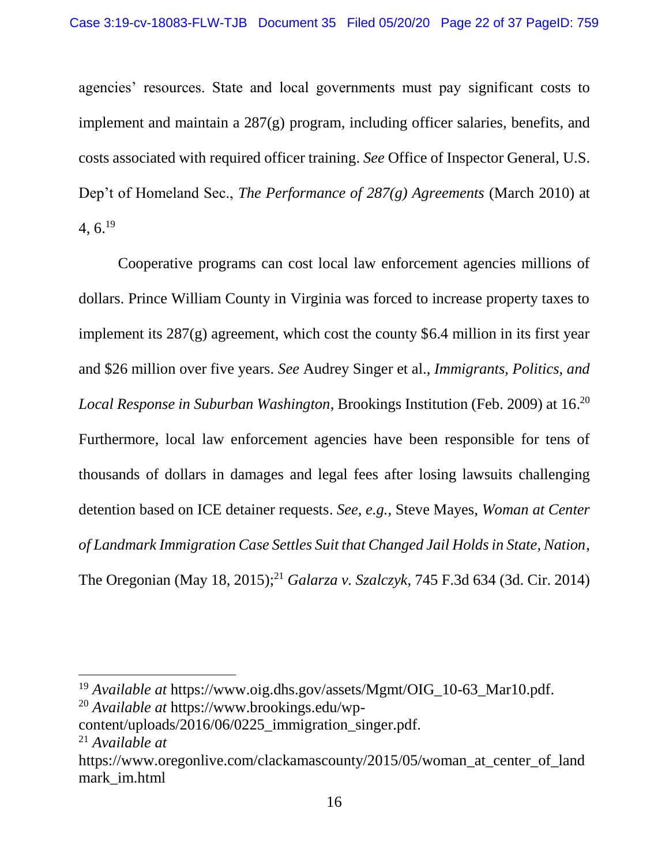agencies' resources. State and local governments must pay significant costs to implement and maintain a 287(g) program, including officer salaries, benefits, and costs associated with required officer training. *See* Office of Inspector General, U.S. Dep't of Homeland Sec., *The Performance of 287(g) Agreements* (March 2010) at  $4, 6.^{19}$ 

Cooperative programs can cost local law enforcement agencies millions of dollars. Prince William County in Virginia was forced to increase property taxes to implement its 287(g) agreement, which cost the county \$6.4 million in its first year and \$26 million over five years. *See* Audrey Singer et al., *Immigrants, Politics, and Local Response in Suburban Washington*, Brookings Institution (Feb. 2009) at 16. 20 Furthermore, local law enforcement agencies have been responsible for tens of thousands of dollars in damages and legal fees after losing lawsuits challenging detention based on ICE detainer requests. *See, e.g.,* Steve Mayes, *Woman at Center of Landmark Immigration Case Settles Suit that Changed Jail Holds in State, Nation*, The Oregonian (May 18, 2015); <sup>21</sup> *Galarza v. Szalczyk*, 745 F.3d 634 (3d. Cir. 2014)

<sup>19</sup> *Available at* https://www.oig.dhs.gov/assets/Mgmt/OIG\_10-63\_Mar10.pdf. <sup>20</sup> *Available at* https://www.brookings.edu/wp-

content/uploads/2016/06/0225\_immigration\_singer.pdf.

<sup>21</sup> *Available at*

https://www.oregonlive.com/clackamascounty/2015/05/woman at center of land mark\_im.html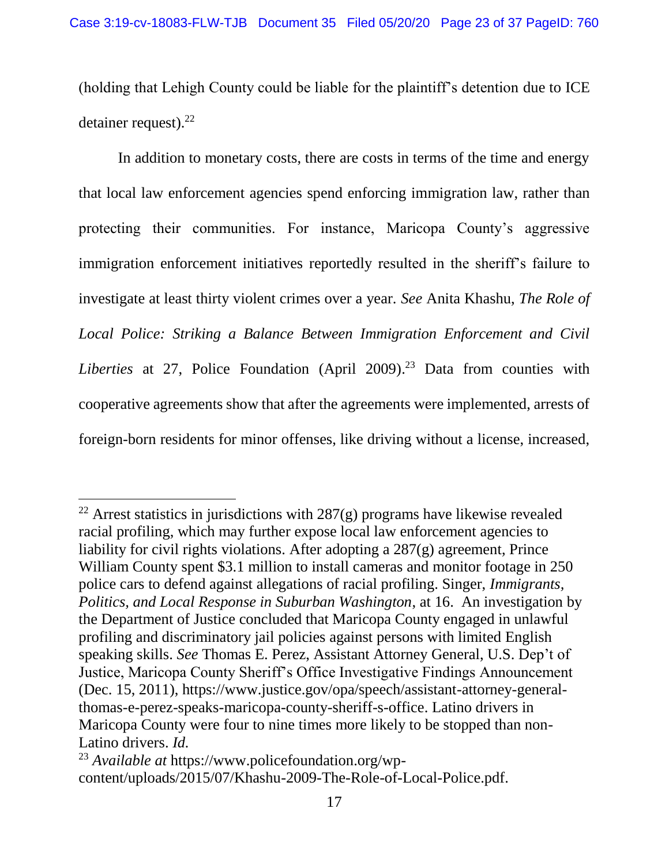(holding that Lehigh County could be liable for the plaintiff's detention due to ICE detainer request).<sup>22</sup>

In addition to monetary costs, there are costs in terms of the time and energy that local law enforcement agencies spend enforcing immigration law, rather than protecting their communities. For instance, Maricopa County's aggressive immigration enforcement initiatives reportedly resulted in the sheriff's failure to investigate at least thirty violent crimes over a year. *See* Anita Khashu, *The Role of Local Police: Striking a Balance Between Immigration Enforcement and Civil Liberties* at 27, Police Foundation (April 2009). <sup>23</sup> Data from counties with cooperative agreements show that after the agreements were implemented, arrests of foreign-born residents for minor offenses, like driving without a license, increased,

<sup>&</sup>lt;sup>22</sup> Arrest statistics in jurisdictions with  $287(g)$  programs have likewise revealed racial profiling, which may further expose local law enforcement agencies to liability for civil rights violations. After adopting a 287(g) agreement, Prince William County spent \$3.1 million to install cameras and monitor footage in 250 police cars to defend against allegations of racial profiling. Singer, *Immigrants, Politics, and Local Response in Suburban Washington*, at 16. An investigation by the Department of Justice concluded that Maricopa County engaged in unlawful profiling and discriminatory jail policies against persons with limited English speaking skills. *See* Thomas E. Perez, Assistant Attorney General, U.S. Dep't of Justice, Maricopa County Sheriff's Office Investigative Findings Announcement (Dec. 15, 2011), https://www.justice.gov/opa/speech/assistant-attorney-generalthomas-e-perez-speaks-maricopa-county-sheriff-s-office. Latino drivers in Maricopa County were four to nine times more likely to be stopped than non-Latino drivers. *Id.*

<sup>23</sup> *Available at* https://www.policefoundation.org/wpcontent/uploads/2015/07/Khashu-2009-The-Role-of-Local-Police.pdf.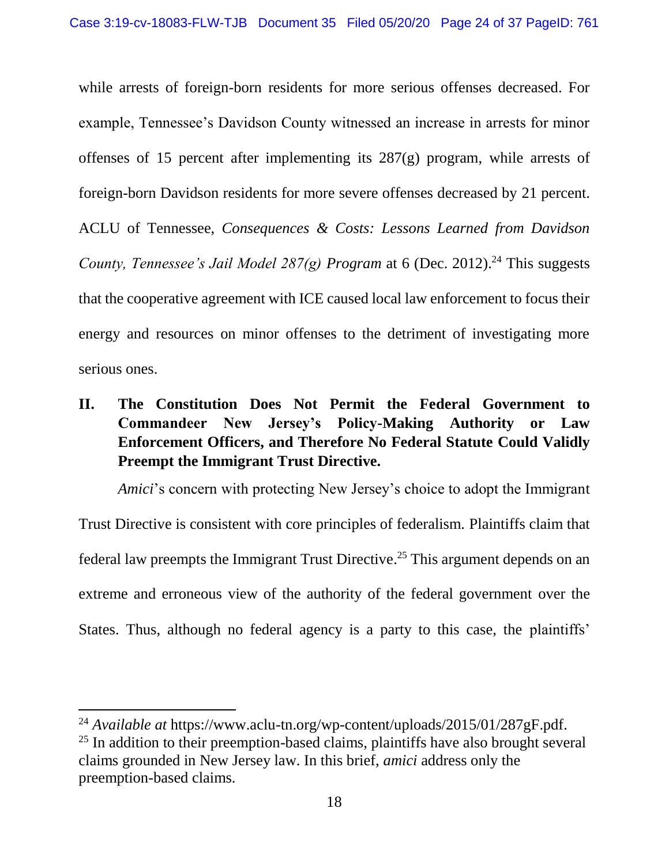while arrests of foreign-born residents for more serious offenses decreased. For example, Tennessee's Davidson County witnessed an increase in arrests for minor offenses of 15 percent after implementing its 287(g) program, while arrests of foreign-born Davidson residents for more severe offenses decreased by 21 percent. ACLU of Tennessee, *Consequences & Costs: Lessons Learned from Davidson County, Tennessee's Jail Model 287(g) Program* at 6 (Dec. 2012). <sup>24</sup> This suggests that the cooperative agreement with ICE caused local law enforcement to focus their energy and resources on minor offenses to the detriment of investigating more serious ones.

# <span id="page-23-0"></span>**II. The Constitution Does Not Permit the Federal Government to Commandeer New Jersey's Policy-Making Authority or Law Enforcement Officers, and Therefore No Federal Statute Could Validly Preempt the Immigrant Trust Directive.**

*Amici*'s concern with protecting New Jersey's choice to adopt the Immigrant Trust Directive is consistent with core principles of federalism. Plaintiffs claim that federal law preempts the Immigrant Trust Directive. <sup>25</sup> This argument depends on an extreme and erroneous view of the authority of the federal government over the States. Thus, although no federal agency is a party to this case, the plaintiffs'

<sup>24</sup> *Available at* https://www.aclu-tn.org/wp-content/uploads/2015/01/287gF.pdf.

 $25$  In addition to their preemption-based claims, plaintiffs have also brought several claims grounded in New Jersey law. In this brief, *amici* address only the preemption-based claims.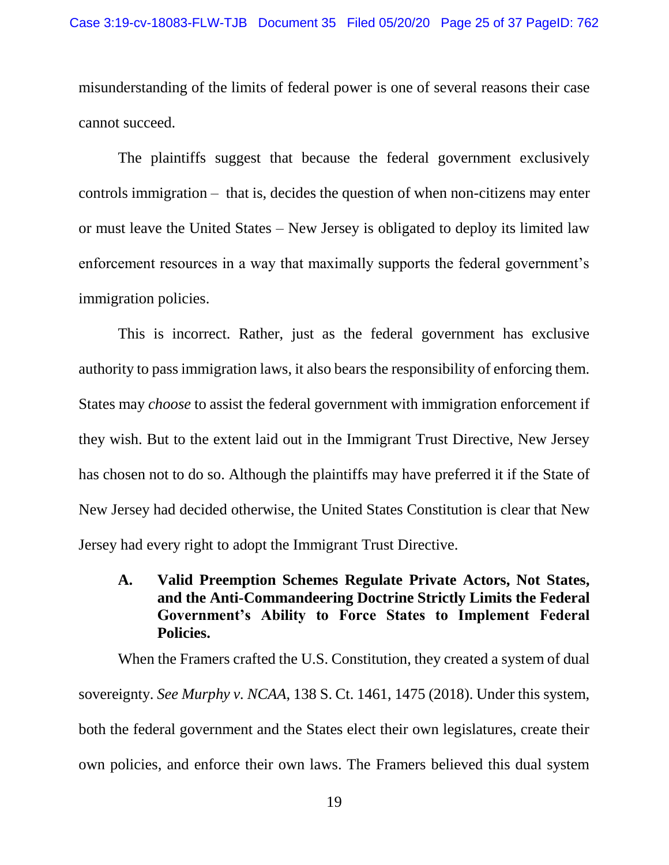misunderstanding of the limits of federal power is one of several reasons their case cannot succeed.

The plaintiffs suggest that because the federal government exclusively controls immigration – that is, decides the question of when non-citizens may enter or must leave the United States – New Jersey is obligated to deploy its limited law enforcement resources in a way that maximally supports the federal government's immigration policies.

This is incorrect. Rather, just as the federal government has exclusive authority to pass immigration laws, it also bears the responsibility of enforcing them. States may *choose* to assist the federal government with immigration enforcement if they wish. But to the extent laid out in the Immigrant Trust Directive, New Jersey has chosen not to do so. Although the plaintiffs may have preferred it if the State of New Jersey had decided otherwise, the United States Constitution is clear that New Jersey had every right to adopt the Immigrant Trust Directive.

<span id="page-24-0"></span>**A. Valid Preemption Schemes Regulate Private Actors, Not States, and the Anti-Commandeering Doctrine Strictly Limits the Federal Government's Ability to Force States to Implement Federal Policies.**

When the Framers crafted the U.S. Constitution, they created a system of dual sovereignty. *See Murphy v. NCAA*, 138 S. Ct. 1461, 1475 (2018). Under this system, both the federal government and the States elect their own legislatures, create their own policies, and enforce their own laws. The Framers believed this dual system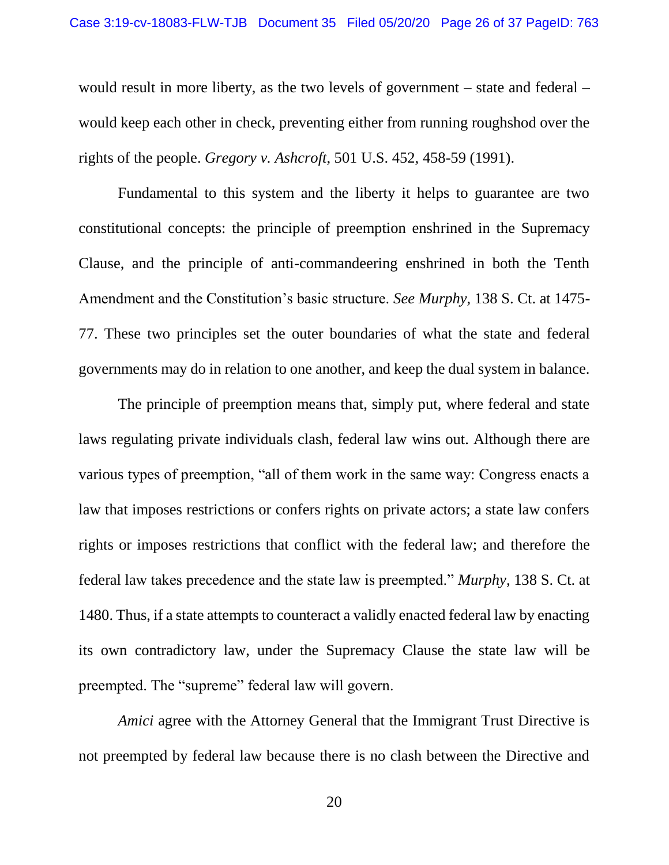would result in more liberty, as the two levels of government – state and federal – would keep each other in check, preventing either from running roughshod over the rights of the people. *Gregory v. Ashcroft*, 501 U.S. 452, 458-59 (1991).

Fundamental to this system and the liberty it helps to guarantee are two constitutional concepts: the principle of preemption enshrined in the Supremacy Clause, and the principle of anti-commandeering enshrined in both the Tenth Amendment and the Constitution's basic structure. *See Murphy*, 138 S. Ct. at 1475- 77. These two principles set the outer boundaries of what the state and federal governments may do in relation to one another, and keep the dual system in balance.

The principle of preemption means that, simply put, where federal and state laws regulating private individuals clash, federal law wins out. Although there are various types of preemption, "all of them work in the same way: Congress enacts a law that imposes restrictions or confers rights on private actors; a state law confers rights or imposes restrictions that conflict with the federal law; and therefore the federal law takes precedence and the state law is preempted." *Murphy*, 138 S. Ct. at 1480. Thus, if a state attempts to counteract a validly enacted federal law by enacting its own contradictory law, under the Supremacy Clause the state law will be preempted. The "supreme" federal law will govern.

*Amici* agree with the Attorney General that the Immigrant Trust Directive is not preempted by federal law because there is no clash between the Directive and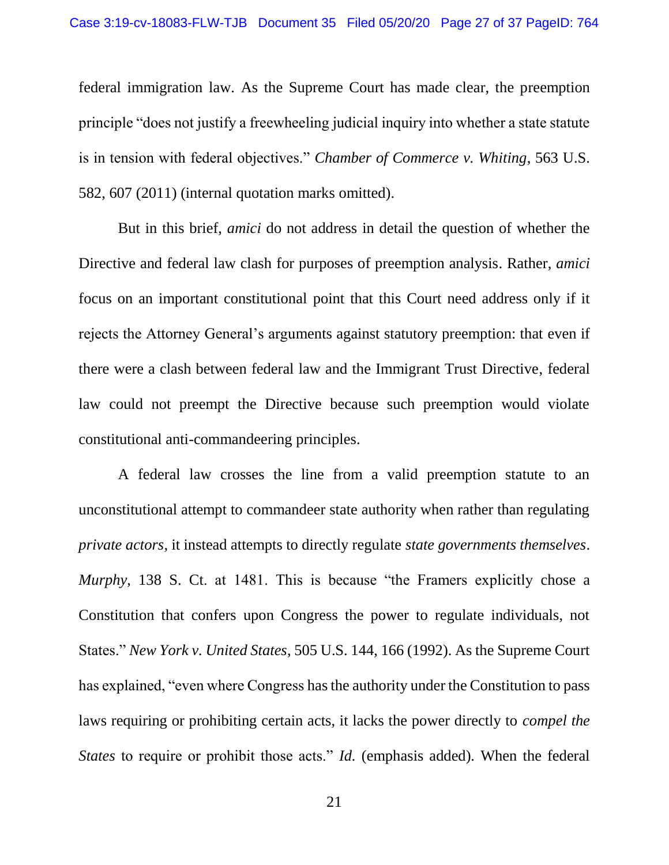federal immigration law. As the Supreme Court has made clear, the preemption principle "does not justify a freewheeling judicial inquiry into whether a state statute is in tension with federal objectives." *Chamber of Commerce v. Whiting*, 563 U.S. 582, 607 (2011) (internal quotation marks omitted).

But in this brief, *amici* do not address in detail the question of whether the Directive and federal law clash for purposes of preemption analysis. Rather, *amici* focus on an important constitutional point that this Court need address only if it rejects the Attorney General's arguments against statutory preemption: that even if there were a clash between federal law and the Immigrant Trust Directive, federal law could not preempt the Directive because such preemption would violate constitutional anti-commandeering principles.

A federal law crosses the line from a valid preemption statute to an unconstitutional attempt to commandeer state authority when rather than regulating *private actors*, it instead attempts to directly regulate *state governments themselves*. *Murphy*, 138 S. Ct. at 1481. This is because "the Framers explicitly chose a Constitution that confers upon Congress the power to regulate individuals, not States." *New York v. United States*, 505 U.S. 144, 166 (1992). As the Supreme Court has explained, "even where Congress has the authority under the Constitution to pass laws requiring or prohibiting certain acts, it lacks the power directly to *compel the States* to require or prohibit those acts." *Id.* (emphasis added). When the federal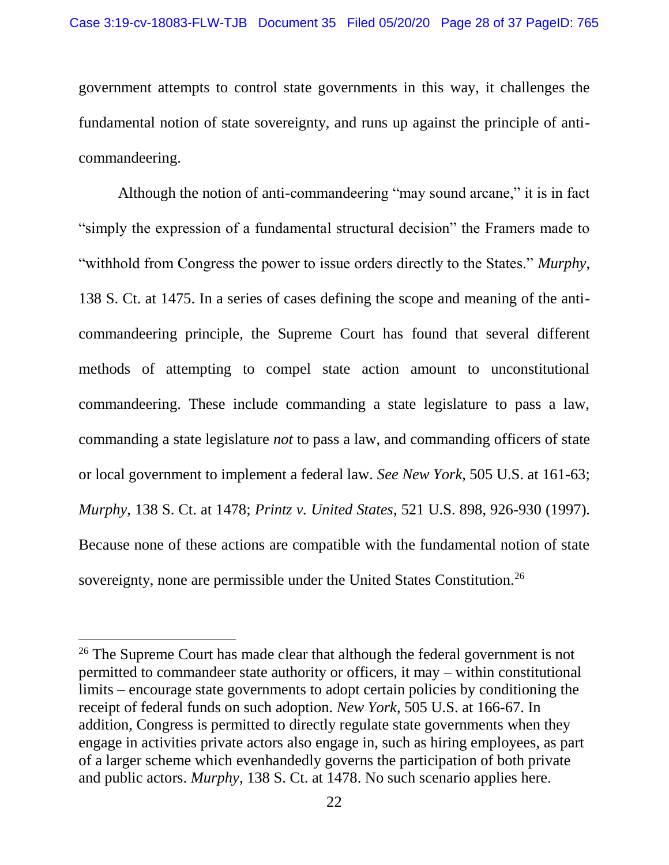government attempts to control state governments in this way, it challenges the fundamental notion of state sovereignty, and runs up against the principle of anticommandeering.

Although the notion of anti-commandeering "may sound arcane," it is in fact "simply the expression of a fundamental structural decision" the Framers made to "withhold from Congress the power to issue orders directly to the States." *Murphy*, 138 S. Ct. at 1475. In a series of cases defining the scope and meaning of the anticommandeering principle, the Supreme Court has found that several different methods of attempting to compel state action amount to unconstitutional commandeering. These include commanding a state legislature to pass a law, commanding a state legislature *not* to pass a law, and commanding officers of state or local government to implement a federal law. *See New York*, 505 U.S. at 161-63; *Murphy*, 138 S. Ct. at 1478; *Printz v. United States*, 521 U.S. 898, 926-930 (1997). Because none of these actions are compatible with the fundamental notion of state sovereignty, none are permissible under the United States Constitution.<sup>26</sup>

 $26$  The Supreme Court has made clear that although the federal government is not permitted to commandeer state authority or officers, it may – within constitutional limits – encourage state governments to adopt certain policies by conditioning the receipt of federal funds on such adoption. *New York*, 505 U.S. at 166-67. In addition, Congress is permitted to directly regulate state governments when they engage in activities private actors also engage in, such as hiring employees, as part of a larger scheme which evenhandedly governs the participation of both private and public actors. *Murphy*, 138 S. Ct. at 1478. No such scenario applies here.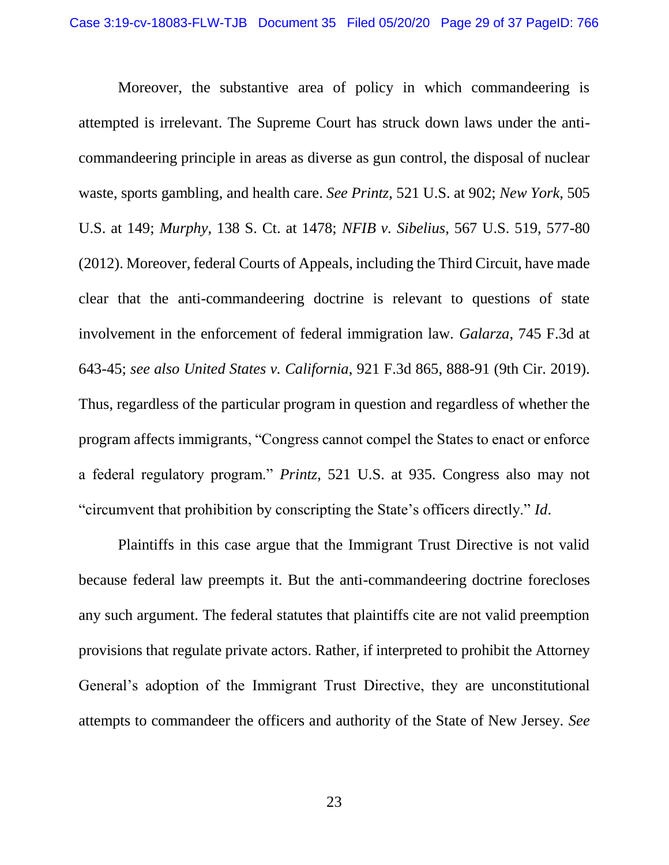Moreover, the substantive area of policy in which commandeering is attempted is irrelevant. The Supreme Court has struck down laws under the anticommandeering principle in areas as diverse as gun control, the disposal of nuclear waste, sports gambling, and health care. *See Printz*, 521 U.S. at 902; *New York*, 505 U.S. at 149; *Murphy*, 138 S. Ct. at 1478; *NFIB v. Sibelius*, 567 U.S. 519, 577-80 (2012). Moreover, federal Courts of Appeals, including the Third Circuit, have made clear that the anti-commandeering doctrine is relevant to questions of state involvement in the enforcement of federal immigration law. *Galarza*, 745 F.3d at 643-45; *see also United States v. California*, 921 F.3d 865, 888-91 (9th Cir. 2019). Thus, regardless of the particular program in question and regardless of whether the program affects immigrants, "Congress cannot compel the States to enact or enforce a federal regulatory program." *Printz*, 521 U.S. at 935. Congress also may not "circumvent that prohibition by conscripting the State's officers directly." *Id*.

Plaintiffs in this case argue that the Immigrant Trust Directive is not valid because federal law preempts it. But the anti-commandeering doctrine forecloses any such argument. The federal statutes that plaintiffs cite are not valid preemption provisions that regulate private actors. Rather, if interpreted to prohibit the Attorney General's adoption of the Immigrant Trust Directive, they are unconstitutional attempts to commandeer the officers and authority of the State of New Jersey. *See*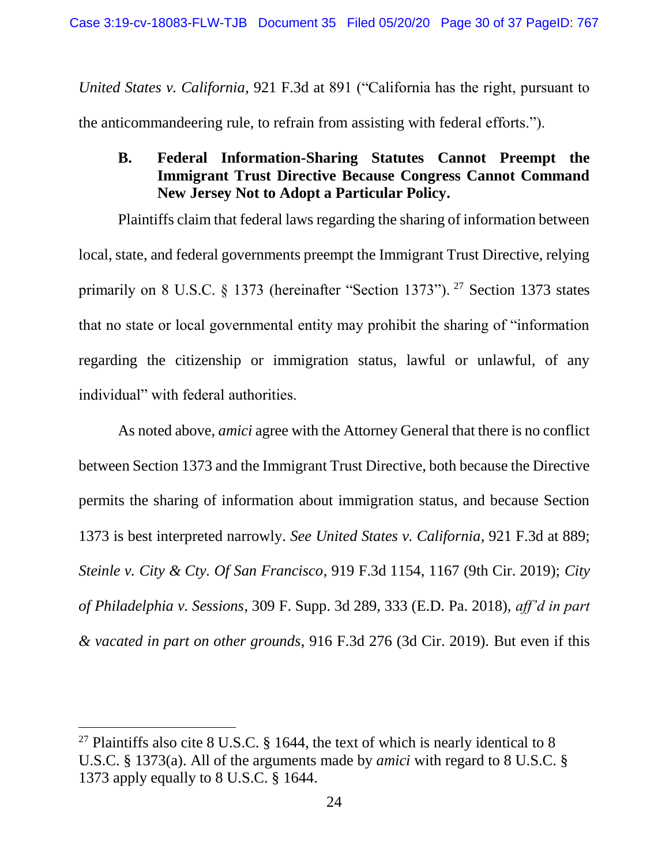*United States v. California*, 921 F.3d at 891 ("California has the right, pursuant to the anticommandeering rule, to refrain from assisting with federal efforts.").

<span id="page-29-0"></span>**B. Federal Information-Sharing Statutes Cannot Preempt the Immigrant Trust Directive Because Congress Cannot Command New Jersey Not to Adopt a Particular Policy.**

Plaintiffs claim that federal laws regarding the sharing of information between local, state, and federal governments preempt the Immigrant Trust Directive, relying primarily on 8 U.S.C.  $\S$  1373 (hereinafter "Section 1373"). <sup>27</sup> Section 1373 states that no state or local governmental entity may prohibit the sharing of "information regarding the citizenship or immigration status, lawful or unlawful, of any individual" with federal authorities.

As noted above, *amici* agree with the Attorney General that there is no conflict between Section 1373 and the Immigrant Trust Directive, both because the Directive permits the sharing of information about immigration status, and because Section 1373 is best interpreted narrowly. *See United States v. California*, 921 F.3d at 889; *Steinle v. City & Cty. Of San Francisco*, 919 F.3d 1154, 1167 (9th Cir. 2019); *City of Philadelphia v. Sessions*, 309 F. Supp. 3d 289, 333 (E.D. Pa. 2018), *aff'd in part & vacated in part on other grounds*, 916 F.3d 276 (3d Cir. 2019). But even if this

<sup>&</sup>lt;sup>27</sup> Plaintiffs also cite 8 U.S.C. § 1644, the text of which is nearly identical to 8 U.S.C. § 1373(a). All of the arguments made by *amici* with regard to 8 U.S.C. § 1373 apply equally to 8 U.S.C. § 1644.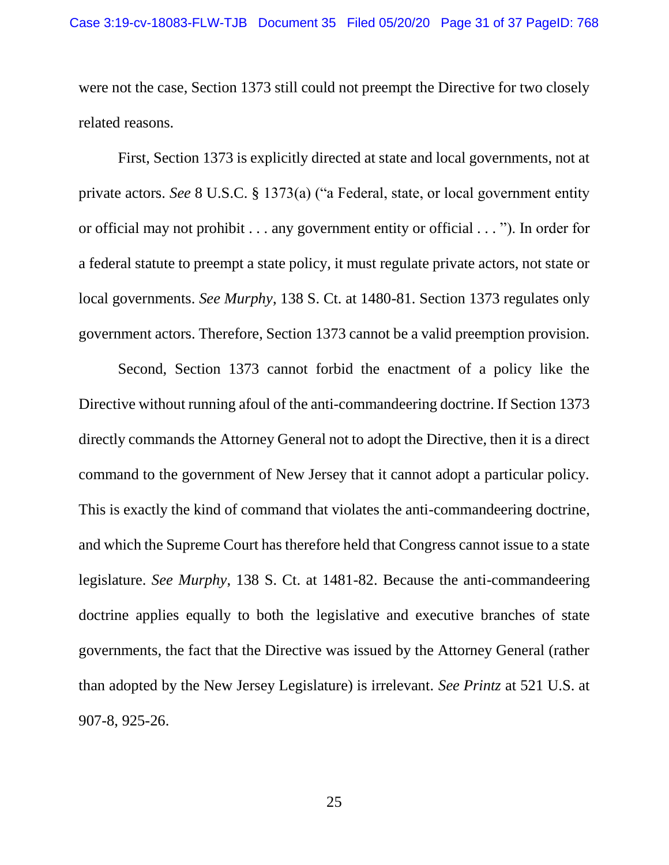were not the case, Section 1373 still could not preempt the Directive for two closely related reasons.

First, Section 1373 is explicitly directed at state and local governments, not at private actors. *See* 8 U.S.C. § 1373(a) ("a Federal, state, or local government entity or official may not prohibit . . . any government entity or official . . . "). In order for a federal statute to preempt a state policy, it must regulate private actors, not state or local governments. *See Murphy*, 138 S. Ct. at 1480-81. Section 1373 regulates only government actors. Therefore, Section 1373 cannot be a valid preemption provision.

Second, Section 1373 cannot forbid the enactment of a policy like the Directive without running afoul of the anti-commandeering doctrine. If Section 1373 directly commands the Attorney General not to adopt the Directive, then it is a direct command to the government of New Jersey that it cannot adopt a particular policy. This is exactly the kind of command that violates the anti-commandeering doctrine, and which the Supreme Court has therefore held that Congress cannot issue to a state legislature. *See Murphy*, 138 S. Ct. at 1481-82. Because the anti-commandeering doctrine applies equally to both the legislative and executive branches of state governments, the fact that the Directive was issued by the Attorney General (rather than adopted by the New Jersey Legislature) is irrelevant. *See Printz* at 521 U.S. at 907-8, 925-26.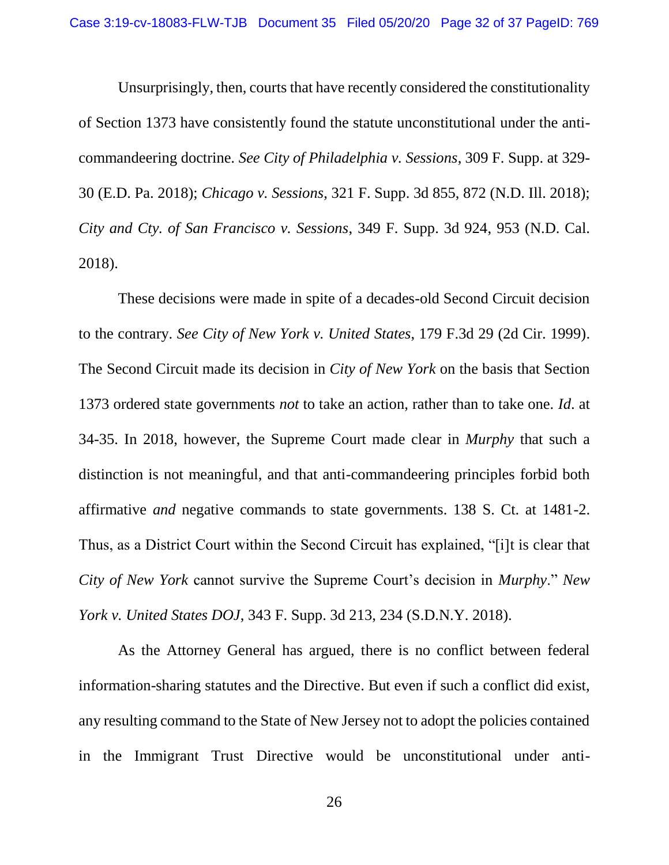Unsurprisingly, then, courts that have recently considered the constitutionality of Section 1373 have consistently found the statute unconstitutional under the anticommandeering doctrine*. See City of Philadelphia v. Sessions*, 309 F. Supp. at 329- 30 (E.D. Pa. 2018); *Chicago v. Sessions*, 321 F. Supp. 3d 855, 872 (N.D. Ill. 2018); *City and Cty. of San Francisco v. Sessions*, 349 F. Supp. 3d 924, 953 (N.D. Cal. 2018).

These decisions were made in spite of a decades-old Second Circuit decision to the contrary. *See City of New York v. United States*, 179 F.3d 29 (2d Cir. 1999). The Second Circuit made its decision in *City of New York* on the basis that Section 1373 ordered state governments *not* to take an action, rather than to take one. *Id*. at 34-35. In 2018, however, the Supreme Court made clear in *Murphy* that such a distinction is not meaningful, and that anti-commandeering principles forbid both affirmative *and* negative commands to state governments. 138 S. Ct. at 1481-2. Thus, as a District Court within the Second Circuit has explained, "[i]t is clear that *City of New York* cannot survive the Supreme Court's decision in *Murphy*." *New York v. United States DOJ*, 343 F. Supp. 3d 213, 234 (S.D.N.Y. 2018).

As the Attorney General has argued, there is no conflict between federal information-sharing statutes and the Directive. But even if such a conflict did exist, any resulting command to the State of New Jersey not to adopt the policies contained in the Immigrant Trust Directive would be unconstitutional under anti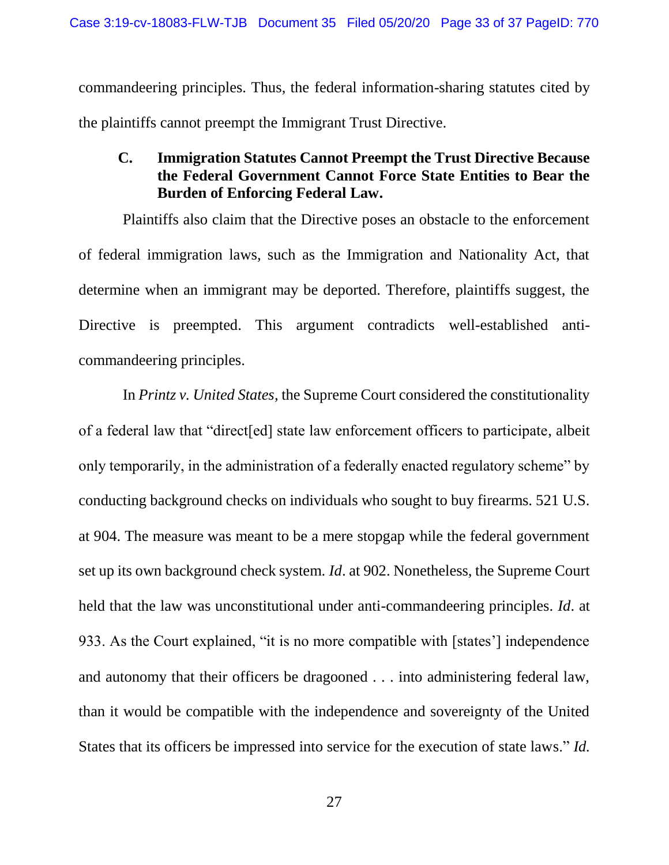commandeering principles. Thus, the federal information-sharing statutes cited by the plaintiffs cannot preempt the Immigrant Trust Directive.

#### <span id="page-32-0"></span>**C. Immigration Statutes Cannot Preempt the Trust Directive Because the Federal Government Cannot Force State Entities to Bear the Burden of Enforcing Federal Law.**

Plaintiffs also claim that the Directive poses an obstacle to the enforcement of federal immigration laws, such as the Immigration and Nationality Act, that determine when an immigrant may be deported. Therefore, plaintiffs suggest, the Directive is preempted. This argument contradicts well-established anticommandeering principles.

In *Printz v. United States*, the Supreme Court considered the constitutionality of a federal law that "direct[ed] state law enforcement officers to participate, albeit only temporarily, in the administration of a federally enacted regulatory scheme" by conducting background checks on individuals who sought to buy firearms. 521 U.S. at 904. The measure was meant to be a mere stopgap while the federal government set up its own background check system. *Id*. at 902. Nonetheless, the Supreme Court held that the law was unconstitutional under anti-commandeering principles. *Id*. at 933. As the Court explained, "it is no more compatible with [states'] independence and autonomy that their officers be dragooned . . . into administering federal law, than it would be compatible with the independence and sovereignty of the United States that its officers be impressed into service for the execution of state laws." *Id.*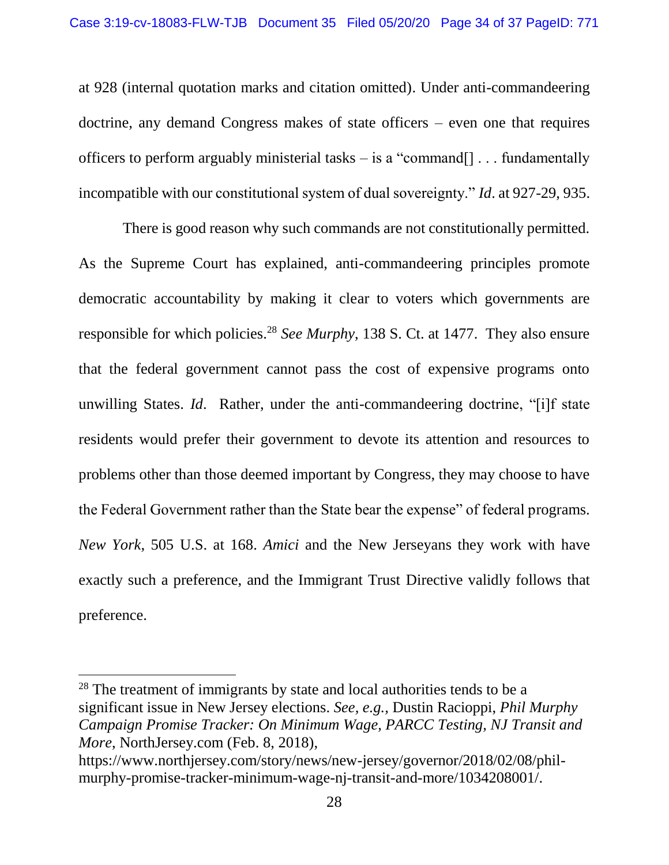at 928 (internal quotation marks and citation omitted). Under anti-commandeering doctrine, any demand Congress makes of state officers – even one that requires officers to perform arguably ministerial tasks – is a "command $[] \dots$  fundamentally incompatible with our constitutional system of dual sovereignty." *Id*. at 927-29, 935.

There is good reason why such commands are not constitutionally permitted. As the Supreme Court has explained, anti-commandeering principles promote democratic accountability by making it clear to voters which governments are responsible for which policies.<sup>28</sup> *See Murphy*, 138 S. Ct. at 1477. They also ensure that the federal government cannot pass the cost of expensive programs onto unwilling States. *Id*. Rather, under the anti-commandeering doctrine, "[i]f state residents would prefer their government to devote its attention and resources to problems other than those deemed important by Congress, they may choose to have the Federal Government rather than the State bear the expense" of federal programs. *New York*, 505 U.S. at 168. *Amici* and the New Jerseyans they work with have exactly such a preference, and the Immigrant Trust Directive validly follows that preference.

 $28$  The treatment of immigrants by state and local authorities tends to be a significant issue in New Jersey elections. *See, e.g.,* Dustin Racioppi, *Phil Murphy Campaign Promise Tracker: On Minimum Wage, PARCC Testing, NJ Transit and More*, NorthJersey.com (Feb. 8, 2018),

https://www.northjersey.com/story/news/new-jersey/governor/2018/02/08/philmurphy-promise-tracker-minimum-wage-nj-transit-and-more/1034208001/.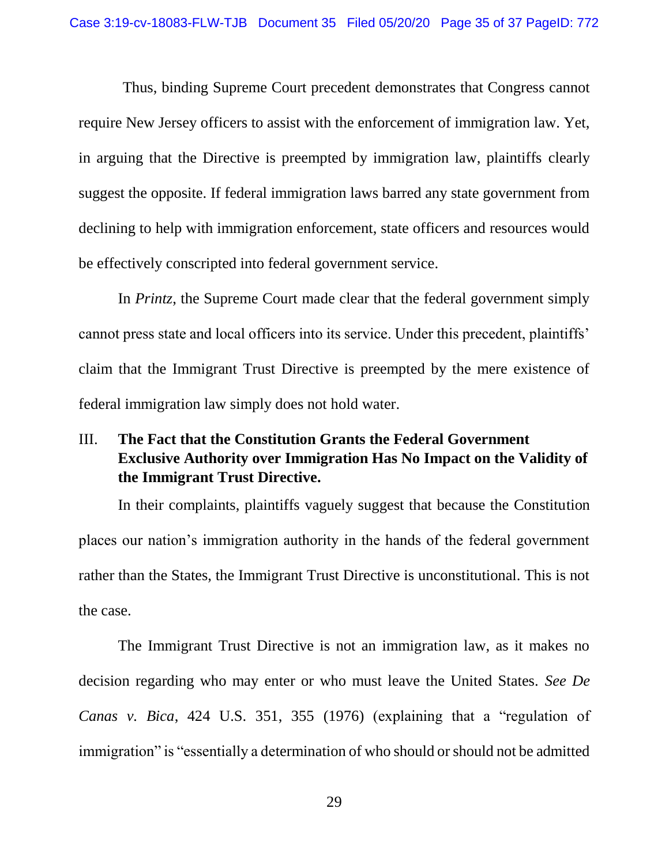Thus, binding Supreme Court precedent demonstrates that Congress cannot require New Jersey officers to assist with the enforcement of immigration law. Yet, in arguing that the Directive is preempted by immigration law, plaintiffs clearly suggest the opposite. If federal immigration laws barred any state government from declining to help with immigration enforcement, state officers and resources would be effectively conscripted into federal government service.

In *Printz*, the Supreme Court made clear that the federal government simply cannot press state and local officers into its service. Under this precedent, plaintiffs' claim that the Immigrant Trust Directive is preempted by the mere existence of federal immigration law simply does not hold water.

# <span id="page-34-0"></span>III. **The Fact that the Constitution Grants the Federal Government Exclusive Authority over Immigration Has No Impact on the Validity of the Immigrant Trust Directive.**

In their complaints, plaintiffs vaguely suggest that because the Constitution places our nation's immigration authority in the hands of the federal government rather than the States, the Immigrant Trust Directive is unconstitutional. This is not the case.

The Immigrant Trust Directive is not an immigration law, as it makes no decision regarding who may enter or who must leave the United States. *See De Canas v. Bica*, 424 U.S. 351, 355 (1976) (explaining that a "regulation of immigration" is "essentially a determination of who should or should not be admitted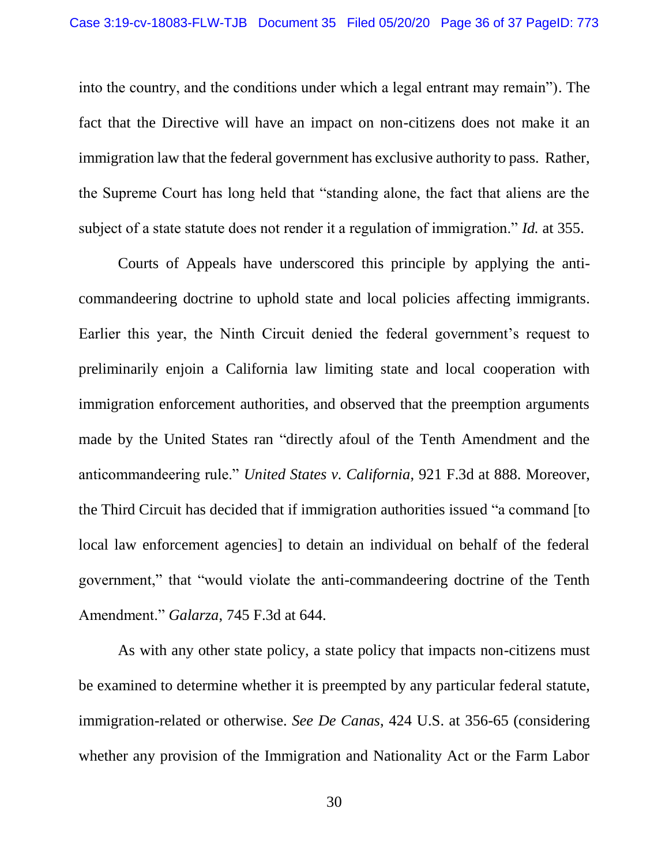into the country, and the conditions under which a legal entrant may remain"). The fact that the Directive will have an impact on non-citizens does not make it an immigration law that the federal government has exclusive authority to pass. Rather, the Supreme Court has long held that "standing alone, the fact that aliens are the subject of a state statute does not render it a regulation of immigration." *Id.* at 355.

Courts of Appeals have underscored this principle by applying the anticommandeering doctrine to uphold state and local policies affecting immigrants. Earlier this year, the Ninth Circuit denied the federal government's request to preliminarily enjoin a California law limiting state and local cooperation with immigration enforcement authorities, and observed that the preemption arguments made by the United States ran "directly afoul of the Tenth Amendment and the anticommandeering rule." *United States v. California*, 921 F.3d at 888. Moreover, the Third Circuit has decided that if immigration authorities issued "a command [to local law enforcement agencies] to detain an individual on behalf of the federal government," that "would violate the anti-commandeering doctrine of the Tenth Amendment." *Galarza*, 745 F.3d at 644.

As with any other state policy, a state policy that impacts non-citizens must be examined to determine whether it is preempted by any particular federal statute, immigration-related or otherwise. *See De Canas*, 424 U.S. at 356-65 (considering whether any provision of the Immigration and Nationality Act or the Farm Labor